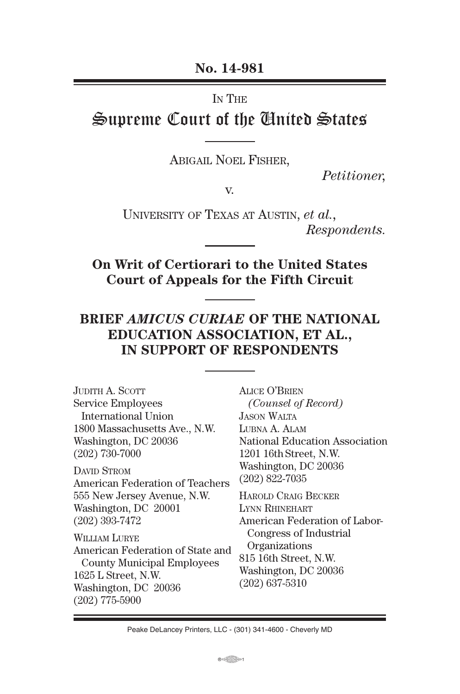**No. 14-981**

In The

# Supreme Court of the United States

Abigail Noel Fisher,

*Petitioner,*

v.

University of Texas at Austin, *et al., Respondents.*

**On Writ of Certiorari to the United States Court of Appeals for the Fifth Circuit**

#### **BRIEF** *AMICUS CURIAE* **OF THE NATIONAL EDUCATION ASSOCIATION, ET AL., IN SUPPORT OF RESPONDENTS**

JUDITH A. SCOTT Service Employees International Union 1800 Massachusetts Ave., N.W. Washington, DC 20036 (202) 730-7000 DAVID STROM American Federation of Teachers 555 New Jersey Avenue, N.W. Washington, DC 20001 (202) 393-7472 William Lurye American Federation of State and County Municipal Employees 1625 L Street, N.W. Washington, DC 20036 (202) 775-5900

Alice O'Brien  *(Counsel of Record)* Jason Walta LUBNA A. ALAM National Education Association 1201 16th Street, N.W. Washington, DC 20036 (202) 822-7035

Harold Craig Becker Lynn Rhinehart American Federation of Labor- Congress of Industrial **Organizations** 815 16th Street, N.W. Washington, DC 20036 (202) 637-5310

Peake DeLancey Printers, LLC - (301) 341-4600 - Cheverly MD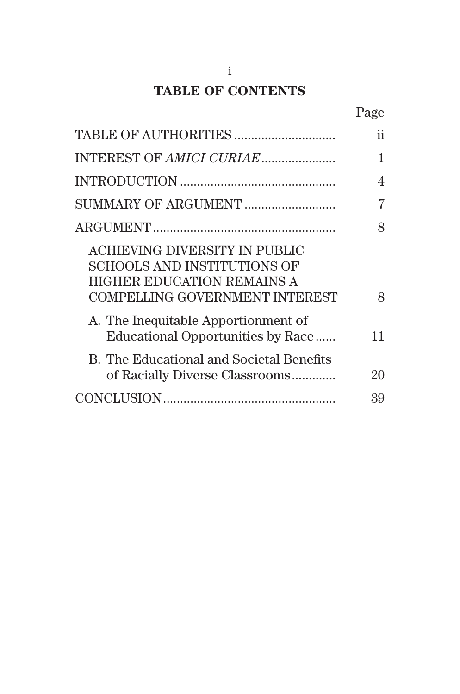# **TABLE OF CONTENTS**

|                                                                                                                                                   | ii |
|---------------------------------------------------------------------------------------------------------------------------------------------------|----|
|                                                                                                                                                   | 1  |
|                                                                                                                                                   | 4  |
| SUMMARY OF ARGUMENT                                                                                                                               | 7  |
|                                                                                                                                                   | 8  |
| <b>ACHIEVING DIVERSITY IN PUBLIC</b><br><b>SCHOOLS AND INSTITUTIONS OF</b><br>HIGHER EDUCATION REMAINS A<br><b>COMPELLING GOVERNMENT INTEREST</b> | 8  |
| A. The Inequitable Apportionment of<br>Educational Opportunities by Race                                                                          | 11 |
| B. The Educational and Societal Benefits<br>of Racially Diverse Classrooms                                                                        | 20 |
|                                                                                                                                                   | 39 |
|                                                                                                                                                   |    |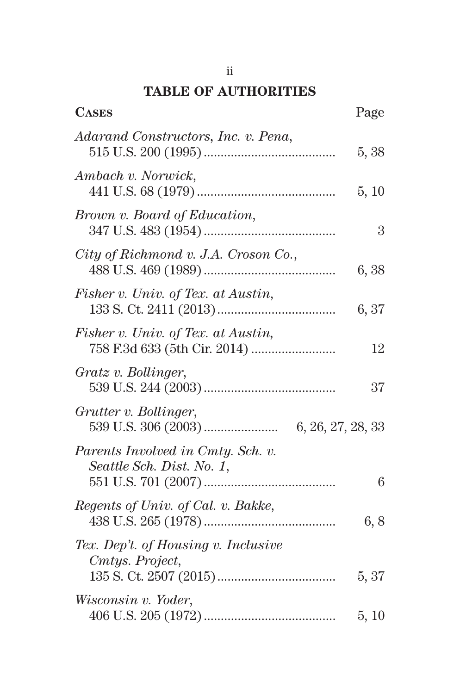# **TABLE OF AUTHORITIES**

| <b>CASES</b>                                                   | Page  |
|----------------------------------------------------------------|-------|
| Adarand Constructors, Inc. v. Pena,                            | 5, 38 |
| Ambach v. Norwick,                                             | 5, 10 |
| Brown v. Board of Education,                                   | 3     |
| City of Richmond v. J.A. Croson Co.,                           | 6, 38 |
| Fisher v. Univ. of Tex. at Austin,                             | 6, 37 |
| Fisher v. Univ. of Tex. at Austin,                             | 12    |
| Gratz v. Bollinger,                                            | 37    |
| Grutter v. Bollinger,                                          |       |
| Parents Involved in Cmty. Sch. v.<br>Seattle Sch. Dist. No. 1, | 6     |
| Regents of Univ. of Cal. v. Bakke,                             | 6, 8  |
| Tex. Dep't. of Housing v. Inclusive<br>Cmtys. Project,         | 5, 37 |
| Wisconsin v. Yoder,                                            | 5, 10 |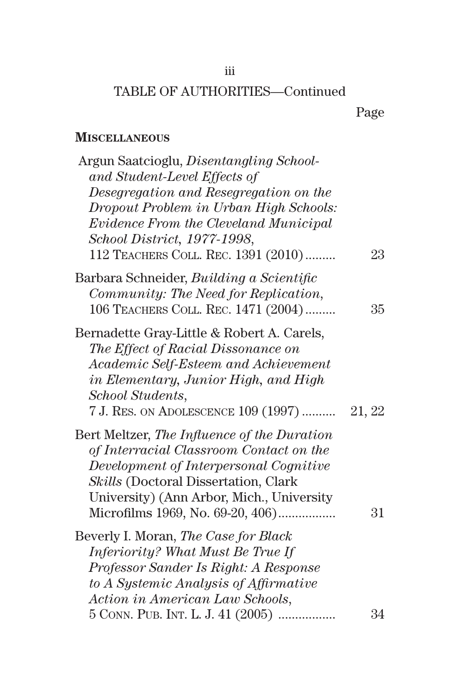#### iii

## TABLE OF AUTHORITIES—Continued

## **Miscellaneous**

| Argun Saatcioglu, Disentangling School-<br>and Student-Level Effects of<br>Desegregation and Resegregation on the<br>Dropout Problem in Urban High Schools:<br>Evidence From the Cleveland Municipal<br>School District, 1977-1998,<br>112 TEACHERS COLL. REC. 1391 (2010) | 23     |
|----------------------------------------------------------------------------------------------------------------------------------------------------------------------------------------------------------------------------------------------------------------------------|--------|
| Barbara Schneider, Building a Scientific<br>Community: The Need for Replication,<br>106 TEACHERS COLL. REC. 1471 (2004)                                                                                                                                                    | 35     |
| Bernadette Gray-Little & Robert A. Carels,<br>The Effect of Racial Dissonance on<br>Academic Self-Esteem and Achievement<br>in Elementary, Junior High, and High<br>School Students,<br>7 J. RES. ON ADOLESCENCE 109 (1997)                                                | 21, 22 |
| Bert Meltzer, The Influence of the Duration<br>of Interracial Classroom Contact on the<br>Development of Interpersonal Cognitive<br>Skills (Doctoral Dissertation, Clark<br>University) (Ann Arbor, Mich., University<br>Microfilms 1969, No. 69-20, 406)                  | 31     |
| Beverly I. Moran, The Case for Black<br>Inferiority? What Must Be True If<br>Professor Sander Is Right: A Response<br>to A Systemic Analysis of Affirmative<br>Action in American Law Schools,                                                                             |        |
| 5 CONN. PUB. INT. L. J. 41 (2005)                                                                                                                                                                                                                                          | 34     |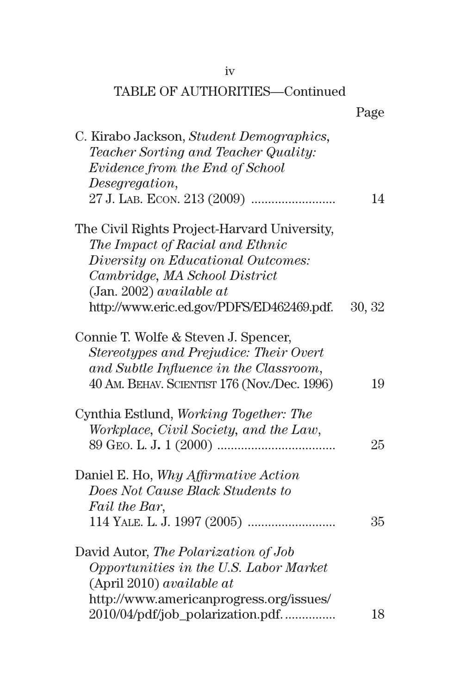| C. Kirabo Jackson, Student Demographics,<br>Teacher Sorting and Teacher Quality:<br>Evidence from the End of School<br>Desegregation,                                    | 14     |
|--------------------------------------------------------------------------------------------------------------------------------------------------------------------------|--------|
| The Civil Rights Project-Harvard University,<br>The Impact of Racial and Ethnic                                                                                          |        |
| Diversity on Educational Outcomes:<br>Cambridge, MA School District<br>(Jan. 2002) <i>available at</i>                                                                   |        |
| http://www.eric.ed.gov/PDFS/ED462469.pdf.                                                                                                                                | 30, 32 |
| Connie T. Wolfe & Steven J. Spencer,<br>Stereotypes and Prejudice: Their Overt<br>and Subtle Influence in the Classroom,<br>40 AM. BEHAV. SCIENTIST 176 (Nov./Dec. 1996) | 19     |
|                                                                                                                                                                          |        |
| Cynthia Estlund, Working Together: The<br>Workplace, Civil Society, and the Law,                                                                                         | 25     |
| Daniel E. Ho, Why Affirmative Action<br>Does Not Cause Black Students to<br>Fail the Bar,                                                                                |        |
|                                                                                                                                                                          | 35     |
| David Autor, The Polarization of Job<br>Opportunities in the U.S. Labor Market<br>(April 2010) available at                                                              |        |
| http://www.americanprogress.org/issues/<br>2010/04/pdf/job_polarization.pdf                                                                                              | 18     |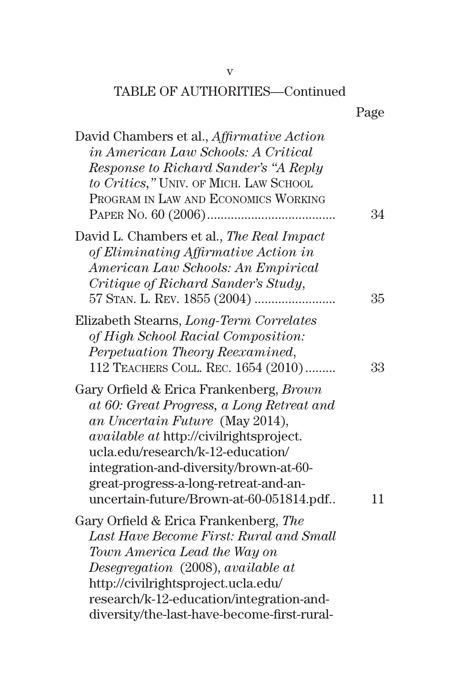| David Chambers et al., Affirmative Action<br><i>in American Law Schools: A Critical</i><br>Response to Richard Sander's "A Reply<br>to Critics," UNIV. OF MICH. LAW SCHOOL<br>PROGRAM IN LAW AND ECONOMICS WORKING                                                                                                                           | 34 |
|----------------------------------------------------------------------------------------------------------------------------------------------------------------------------------------------------------------------------------------------------------------------------------------------------------------------------------------------|----|
| David L. Chambers et al., The Real Impact<br>of Eliminating Affirmative Action in<br>American Law Schools: An Empirical<br>Critique of Richard Sander's Study,                                                                                                                                                                               | 35 |
| Elizabeth Stearns, Long-Term Correlates<br>of High School Racial Composition:<br>Perpetuation Theory Reexamined,<br>112 TEACHERS COLL. REC. 1654 (2010)                                                                                                                                                                                      | 33 |
| Gary Orfield & Erica Frankenberg, Brown<br>at 60: Great Progress, a Long Retreat and<br>an Uncertain Future (May 2014),<br><i>available at http://civilrightsproject.</i><br>ucla.edu/research/k-12-education/<br>integration-and-diversity/brown-at-60-<br>great-progress-a-long-retreat-and-an-<br>uncertain-future/Brown-at-60-051814.pdf | 11 |
| Gary Orfield & Erica Frankenberg, The<br>Last Have Become First: Rural and Small<br>Town America Lead the Way on<br>Desegregation (2008), available at<br>http://civilrightsproject.ucla.edu/<br>research/k-12-education/integration-and-<br>diversity/the-last-have-become-first-rural-                                                     |    |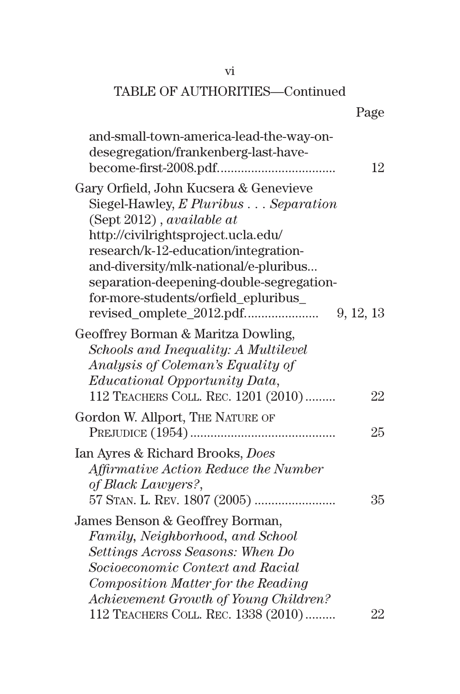#### vi

#### TABLE OF AUTHORITIES—Continued

# Page

| and-small-town-america-lead-the-way-on-<br>desegregation/frankenberg-last-have-                                                                                                                                                       | 12        |
|---------------------------------------------------------------------------------------------------------------------------------------------------------------------------------------------------------------------------------------|-----------|
| Gary Orfield, John Kucsera & Genevieve<br>Siegel-Hawley, E Pluribus Separation                                                                                                                                                        |           |
| (Sept 2012), available at<br>http://civilrightsproject.ucla.edu/<br>research/k-12-education/integration-<br>and-diversity/mlk-national/e-pluribus<br>separation-deepening-double-segregation-<br>for-more-students/orfield_epluribus_ | 9, 12, 13 |
| Geoffrey Borman & Maritza Dowling,<br>Schools and Inequality: A Multilevel<br>Analysis of Coleman's Equality of<br><i>Educational Opportunity Data,</i><br>112 TEACHERS COLL. REC. 1201 (2010)                                        | 22        |
| Gordon W. Allport, THE NATURE OF                                                                                                                                                                                                      | 25        |
| Ian Ayres & Richard Brooks, <i>Does</i><br>Affirmative Action Reduce the Number<br>of Black Lawyers?,                                                                                                                                 | 35        |
| James Benson & Geoffrey Borman,<br>Family, Neighborhood, and School<br>Settings Across Seasons: When Do<br>Socioeconomic Context and Racial<br>Composition Matter for the Reading<br>Achievement Growth of Young Children?            |           |
| 112 TEACHERS COLL. REC. 1338 (2010)                                                                                                                                                                                                   | 22        |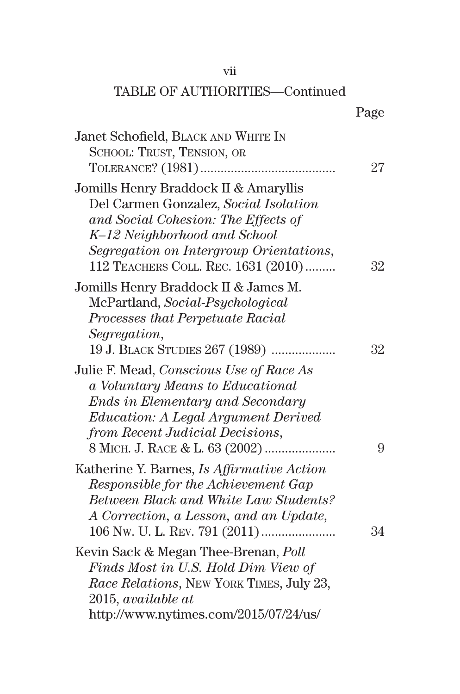#### vii

| Janet Schofield, BLACK AND WHITE IN                                                                                                                                                                                                     |    |
|-----------------------------------------------------------------------------------------------------------------------------------------------------------------------------------------------------------------------------------------|----|
| SCHOOL: TRUST, TENSION, OR                                                                                                                                                                                                              |    |
|                                                                                                                                                                                                                                         | 27 |
| Jomills Henry Braddock II & Amaryllis<br>Del Carmen Gonzalez, Social Isolation<br>and Social Cohesion: The Effects of<br>K-12 Neighborhood and School<br>Segregation on Intergroup Orientations,<br>112 TEACHERS COLL. REC. 1631 (2010) | 32 |
|                                                                                                                                                                                                                                         |    |
| Jomills Henry Braddock II & James M.<br>McPartland, Social-Psychological                                                                                                                                                                |    |
| Processes that Perpetuate Racial                                                                                                                                                                                                        |    |
| Segregation,                                                                                                                                                                                                                            |    |
| 19 J. BLACK STUDIES 267 (1989)                                                                                                                                                                                                          | 32 |
|                                                                                                                                                                                                                                         |    |
| Julie F. Mead, Conscious Use of Race As                                                                                                                                                                                                 |    |
| a Voluntary Means to Educational                                                                                                                                                                                                        |    |
| <b>Ends in Elementary and Secondary</b>                                                                                                                                                                                                 |    |
| <i>Education: A Legal Argument Derived</i><br>from Recent Judicial Decisions,                                                                                                                                                           |    |
| 8 MICH. J. RACE & L. 63 (2002)                                                                                                                                                                                                          | 9  |
|                                                                                                                                                                                                                                         |    |
| Katherine Y. Barnes, <i>Is Affirmative Action</i>                                                                                                                                                                                       |    |
| Responsible for the Achievement Gap                                                                                                                                                                                                     |    |
| Between Black and White Law Students?                                                                                                                                                                                                   |    |
| A Correction, a Lesson, and an Update,                                                                                                                                                                                                  |    |
|                                                                                                                                                                                                                                         | 34 |
| Kevin Sack & Megan Thee-Brenan, Poll                                                                                                                                                                                                    |    |
| Finds Most in U.S. Hold Dim View of                                                                                                                                                                                                     |    |
| Race Relations, NEW YORK TIMES, July 23,                                                                                                                                                                                                |    |
| 2015, available at                                                                                                                                                                                                                      |    |
| http://www.nytimes.com/2015/07/24/us/                                                                                                                                                                                                   |    |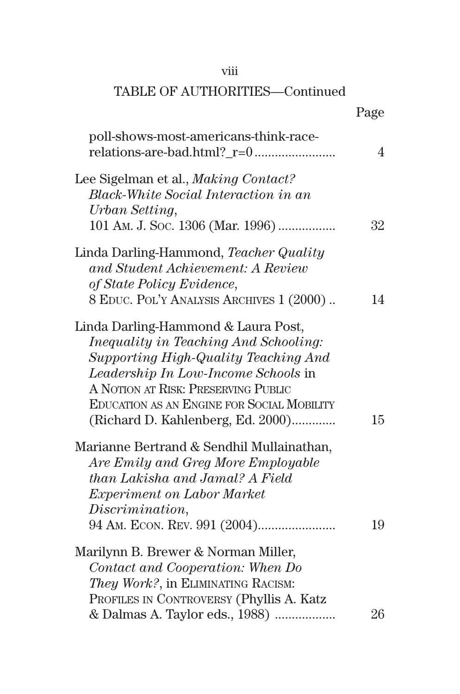| ۰ | × | × |  |
|---|---|---|--|

|                                                                                                                                                                                                                                                                                                     | Page           |
|-----------------------------------------------------------------------------------------------------------------------------------------------------------------------------------------------------------------------------------------------------------------------------------------------------|----------------|
| poll-shows-most-americans-think-race-                                                                                                                                                                                                                                                               | $\overline{4}$ |
| Lee Sigelman et al., <i>Making Contact?</i><br><b>Black-White Social Interaction in an</b><br>Urban Setting,<br>101 AM. J. Soc. 1306 (Mar. 1996)                                                                                                                                                    | 32             |
| Linda Darling-Hammond, Teacher Quality<br>and Student Achievement: A Review<br>of State Policy Evidence,<br>8 EDUC. POL'Y ANALYSIS ARCHIVES 1 (2000)                                                                                                                                                | 14             |
| Linda Darling-Hammond & Laura Post,<br><i>Inequality in Teaching And Schooling:</i><br>Supporting High-Quality Teaching And<br>Leadership In Low-Income Schools in<br>A NOTION AT RISK: PRESERVING PUBLIC<br><b>EDUCATION AS AN ENGINE FOR SOCIAL MOBILITY</b><br>(Richard D. Kahlenberg, Ed. 2000) | 15             |
| Marianne Bertrand & Sendhil Mullainathan,<br>Are Emily and Greg More Employable<br>than Lakisha and Jamal? A Field<br><i>Experiment on Labor Market</i><br>Discrimination,                                                                                                                          | 19             |
| Marilynn B. Brewer & Norman Miller,<br>Contact and Cooperation: When Do<br>They Work?, in ELIMINATING RACISM:<br>PROFILES IN CONTROVERSY (Phyllis A. Katz<br>& Dalmas A. Taylor eds., 1988)                                                                                                         | 26             |
|                                                                                                                                                                                                                                                                                                     |                |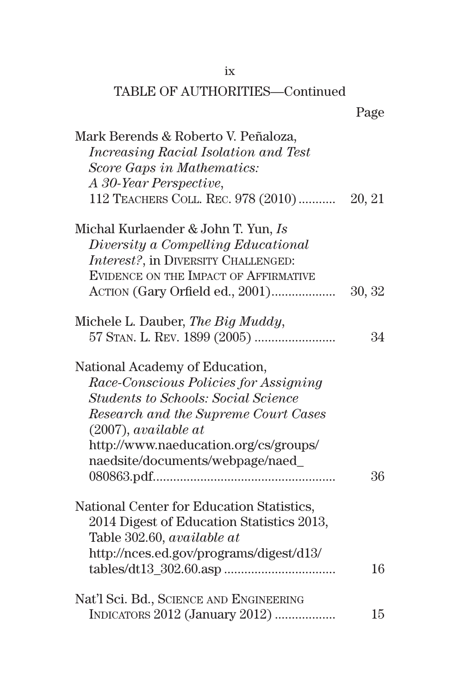| Mark Berends & Roberto V. Peñaloza,         |        |
|---------------------------------------------|--------|
| <i>Increasing Racial Isolation and Test</i> |        |
| Score Gaps in Mathematics:                  |        |
| A 30-Year Perspective,                      |        |
| 112 TEACHERS COLL. REC. 978 (2010)  20, 21  |        |
| Michal Kurlaender & John T. Yun, Is         |        |
| Diversity a Compelling Educational          |        |
| Interest?, in DIVERSITY CHALLENGED:         |        |
| EVIDENCE ON THE IMPACT OF AFFIRMATIVE       |        |
| ACTION (Gary Orfield ed., 2001)             | 30, 32 |
| Michele L. Dauber, The Big Muddy,           |        |
|                                             | 34     |
| National Academy of Education,              |        |
| Race-Conscious Policies for Assigning       |        |
| <b>Students to Schools: Social Science</b>  |        |
| Research and the Supreme Court Cases        |        |
| $(2007)$ , available at                     |        |
| http://www.naeducation.org/cs/groups/       |        |
| naedsite/documents/webpage/naed_            |        |
|                                             | 36     |
| National Center for Education Statistics,   |        |
| 2014 Digest of Education Statistics 2013,   |        |
| Table 302.60, available at                  |        |
| http://nces.ed.gov/programs/digest/d13/     |        |
|                                             | 16     |
| Nat'l Sci. Bd., SCIENCE AND ENGINEERING     |        |
| INDICATORS 2012 (January 2012)              | 15     |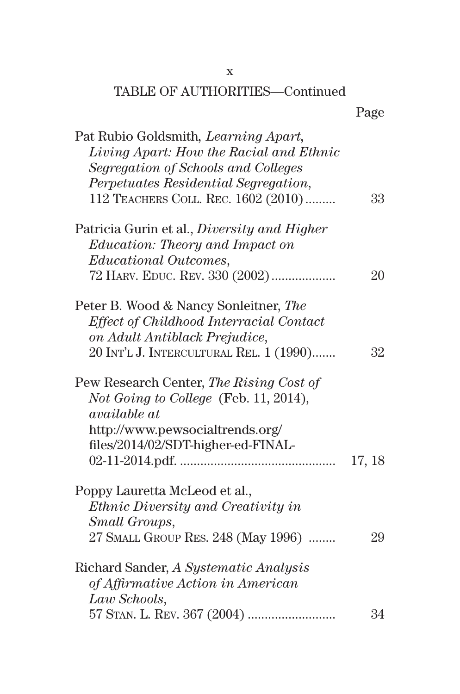| Pat Rubio Goldsmith, Learning Apart,                                                                    |        |
|---------------------------------------------------------------------------------------------------------|--------|
| Living Apart: How the Racial and Ethnic                                                                 |        |
| Segregation of Schools and Colleges                                                                     |        |
| Perpetuates Residential Segregation,                                                                    |        |
| 112 TEACHERS COLL. REC. 1602 (2010)                                                                     | 33     |
| Patricia Gurin et al., <i>Diversity and Higher</i>                                                      |        |
| Education: Theory and Impact on                                                                         |        |
| <i>Educational Outcomes,</i>                                                                            |        |
| 72 HARV. EDUC. REV. 330 (2002)                                                                          | 20     |
| Peter B. Wood & Nancy Sonleitner, The                                                                   |        |
| Effect of Childhood Interracial Contact                                                                 |        |
| on Adult Antiblack Prejudice,                                                                           |        |
| 20 INT'L J. INTERCULTURAL REL. 1 (1990)                                                                 | 32     |
| Pew Research Center, The Rising Cost of<br>Not Going to College (Feb. 11, 2014),<br><i>available at</i> |        |
| http://www.pewsocialtrends.org/                                                                         |        |
| files/2014/02/SDT-higher-ed-FINAL-                                                                      |        |
|                                                                                                         | 17, 18 |
| Poppy Lauretta McLeod et al.,                                                                           |        |
| Ethnic Diversity and Creativity in                                                                      |        |
| Small Groups,                                                                                           |        |
| 27 SMALL GROUP RES. 248 (May 1996)                                                                      | 29     |
| Richard Sander, A Systematic Analysis                                                                   |        |
| of Affirmative Action in American                                                                       |        |
| Law Schools,                                                                                            |        |
|                                                                                                         | 34     |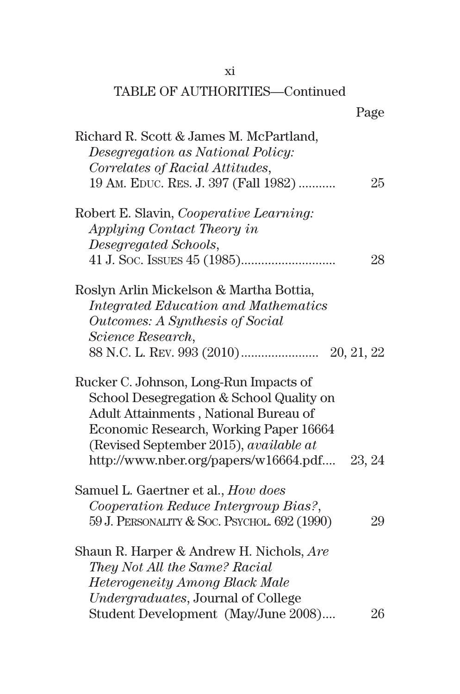## xi

| Richard R. Scott & James M. McPartland,         |        |
|-------------------------------------------------|--------|
| Desegregation as National Policy:               |        |
| Correlates of Racial Attitudes,                 |        |
| 19 AM. EDUC. RES. J. 397 (Fall 1982)            | 25     |
| Robert E. Slavin, <i>Cooperative Learning</i> : |        |
| Applying Contact Theory in                      |        |
| Desegregated Schools,                           |        |
|                                                 | 28     |
| Roslyn Arlin Mickelson & Martha Bottia,         |        |
| <b>Integrated Education and Mathematics</b>     |        |
| Outcomes: A Synthesis of Social                 |        |
| Science Research,                               |        |
|                                                 |        |
| Rucker C. Johnson, Long-Run Impacts of          |        |
| School Desegregation & School Quality on        |        |
| Adult Attainments, National Bureau of           |        |
| Economic Research, Working Paper 16664          |        |
| (Revised September 2015), available at          |        |
| http://www.nber.org/papers/w16664.pdf           | 23, 24 |
| Samuel L. Gaertner et al., How does             |        |
| Cooperation Reduce Intergroup Bias?,            |        |
| 59 J. PERSONALITY & SOC. PSYCHOL. 692 (1990)    | 29     |
| Shaun R. Harper & Andrew H. Nichols, <i>Are</i> |        |
| They Not All the Same? Racial                   |        |
| <b>Heterogeneity Among Black Male</b>           |        |
| Undergraduates, Journal of College              |        |
| Student Development (May/June 2008)             | 26     |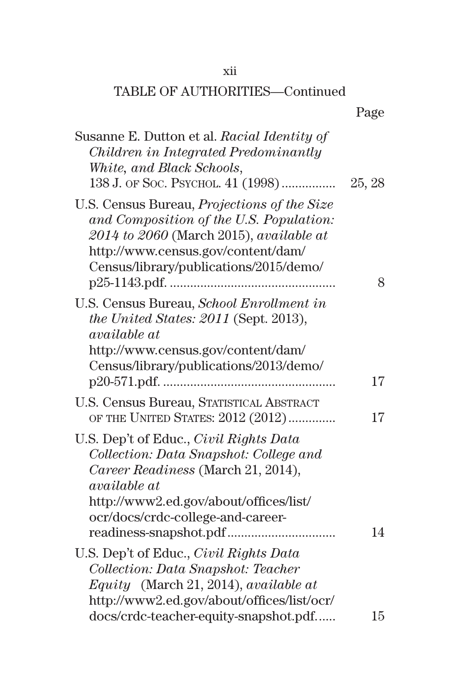#### xii

| Susanne E. Dutton et al. Racial Identity of<br>Children in Integrated Predominantly<br>White, and Black Schools,<br>138 J. OF SOC. PSYCHOL. 41 (1998)                                                                        | 25, 28 |
|------------------------------------------------------------------------------------------------------------------------------------------------------------------------------------------------------------------------------|--------|
| U.S. Census Bureau, <i>Projections of the Size</i><br>and Composition of the U.S. Population:<br>$2014$ to $2060$ (March 2015), available at<br>http://www.census.gov/content/dam/<br>Census/library/publications/2015/demo/ | 8      |
| U.S. Census Bureau, School Enrollment in<br>the United States: 2011 (Sept. 2013),<br><i>available at</i><br>http://www.census.gov/content/dam/<br>Census/library/publications/2013/demo/                                     | 17     |
| U.S. Census Bureau, STATISTICAL ABSTRACT<br>OF THE UNITED STATES: 2012 (2012)                                                                                                                                                | 17     |
| U.S. Dep't of Educ., Civil Rights Data<br>Collection: Data Snapshot: College and<br>Career Readiness (March 21, 2014),<br><i>available at</i><br>http://www2.ed.gov/about/offices/list/<br>ocr/docs/crdc-college-and-career- | 14     |
| U.S. Dep't of Educ., <i>Civil Rights Data</i><br>Collection: Data Snapshot: Teacher<br>Equity (March 21, 2014), available at<br>http://www2.ed.gov/about/offices/list/ocr/                                                   |        |
| docs/crdc-teacher-equity-snapshot.pdf                                                                                                                                                                                        | 15     |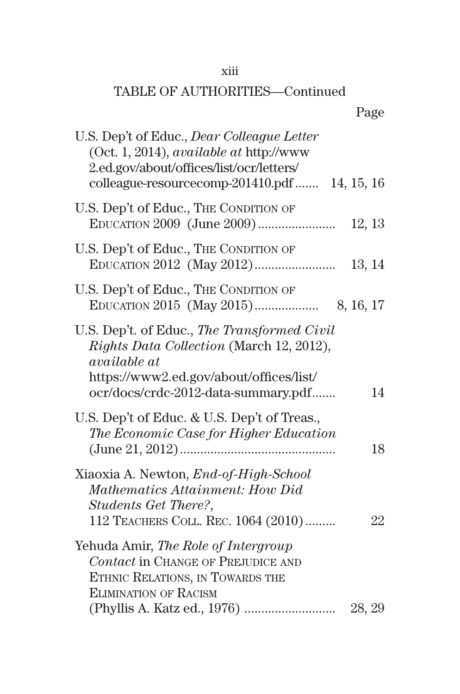#### xiii

| colleague-resourcecomp-201410.pdf  14, 15, 16 |
|-----------------------------------------------|
| 12, 13                                        |
| 13, 14                                        |
|                                               |
| 14                                            |
| 18                                            |
| 22                                            |
| 28, 29                                        |
|                                               |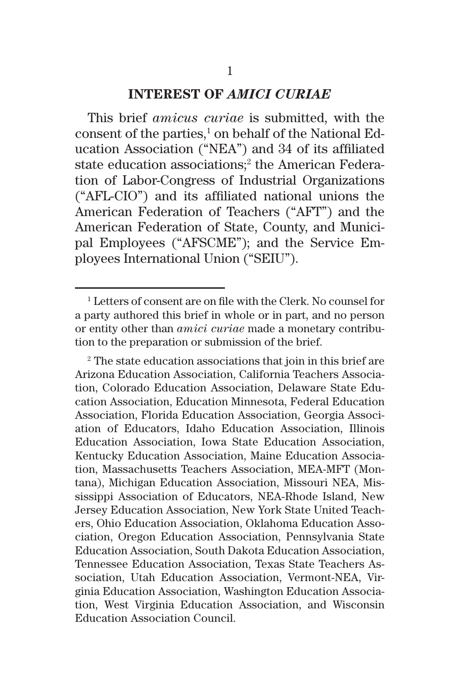#### **INTEREST OF** *AMICI CURIAE*

This brief *amicus curiae* is submitted, with the consent of the parties,<sup>1</sup> on behalf of the National Education Association ("NEA") and 34 of its affiliated state education associations;<sup>2</sup> the American Federation of Labor-Congress of Industrial Organizations ("AFL-CIO") and its affiliated national unions the American Federation of Teachers ("AFT") and the American Federation of State, County, and Municipal Employees ("AFSCME"); and the Service Employees International Union ("SEIU").

<sup>1</sup> Letters of consent are on file with the Clerk. No counsel for a party authored this brief in whole or in part, and no person or entity other than *amici curiae* made a monetary contribution to the preparation or submission of the brief.

<sup>2</sup> The state education associations that join in this brief are Arizona Education Association, California Teachers Association, Colorado Education Association, Delaware State Education Association, Education Minnesota, Federal Education Association, Florida Education Association, Georgia Association of Educators, Idaho Education Association, Illinois Education Association, Iowa State Education Association, Kentucky Education Association, Maine Education Association, Massachusetts Teachers Association, MEA-MFT (Montana), Michigan Education Association, Missouri NEA, Mississippi Association of Educators, NEA-Rhode Island, New Jersey Education Association, New York State United Teachers, Ohio Education Association, Oklahoma Education Association, Oregon Education Association, Pennsylvania State Education Association, South Dakota Education Association, Tennessee Education Association, Texas State Teachers Association, Utah Education Association, Vermont-NEA, Virginia Education Association, Washington Education Association, West Virginia Education Association, and Wisconsin Education Association Council.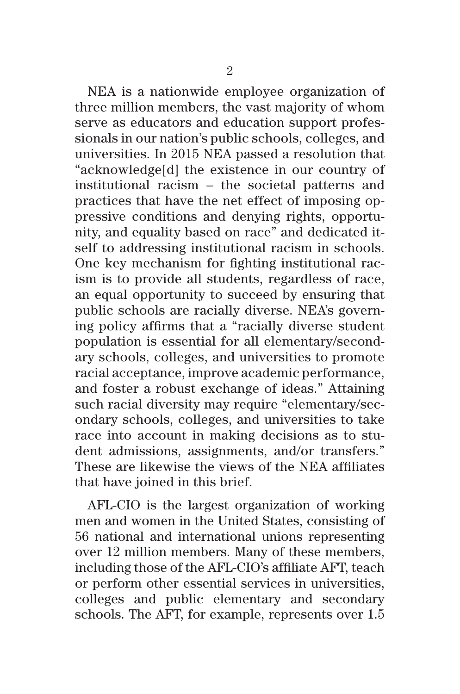NEA is a nationwide employee organization of three million members, the vast majority of whom serve as educators and education support professionals in our nation's public schools, colleges, and universities. In 2015 NEA passed a resolution that "acknowledge[d] the existence in our country of institutional racism – the societal patterns and practices that have the net effect of imposing oppressive conditions and denying rights, opportunity, and equality based on race" and dedicated itself to addressing institutional racism in schools. One key mechanism for fighting institutional racism is to provide all students, regardless of race, an equal opportunity to succeed by ensuring that public schools are racially diverse. NEA's governing policy affirms that a "racially diverse student population is essential for all elementary/secondary schools, colleges, and universities to promote racial acceptance, improve academic performance, and foster a robust exchange of ideas." Attaining such racial diversity may require "elementary/secondary schools, colleges, and universities to take race into account in making decisions as to student admissions, assignments, and/or transfers." These are likewise the views of the NEA affiliates that have joined in this brief.

AFL-CIO is the largest organization of working men and women in the United States, consisting of 56 national and international unions representing over 12 million members. Many of these members, including those of the AFL-CIO's affiliate AFT, teach or perform other essential services in universities, colleges and public elementary and secondary schools. The AFT, for example, represents over 1.5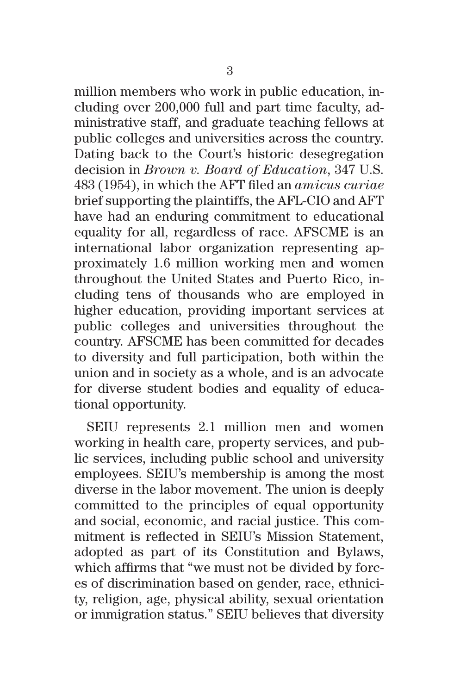million members who work in public education, including over 200,000 full and part time faculty, administrative staff, and graduate teaching fellows at public colleges and universities across the country. Dating back to the Court's historic desegregation decision in *Brown v. Board of Education*, 347 U.S. 483 (1954), in which the AFT filed an *amicus curiae* brief supporting the plaintiffs, the AFL-CIO and AFT have had an enduring commitment to educational equality for all, regardless of race. AFSCME is an international labor organization representing approximately 1.6 million working men and women throughout the United States and Puerto Rico, including tens of thousands who are employed in higher education, providing important services at public colleges and universities throughout the country. AFSCME has been committed for decades to diversity and full participation, both within the union and in society as a whole, and is an advocate for diverse student bodies and equality of educational opportunity.

SEIU represents 2.1 million men and women working in health care, property services, and public services, including public school and university employees. SEIU's membership is among the most diverse in the labor movement. The union is deeply committed to the principles of equal opportunity and social, economic, and racial justice. This commitment is reflected in SEIU's Mission Statement, adopted as part of its Constitution and Bylaws, which affirms that "we must not be divided by forces of discrimination based on gender, race, ethnicity, religion, age, physical ability, sexual orientation or immigration status." SEIU believes that diversity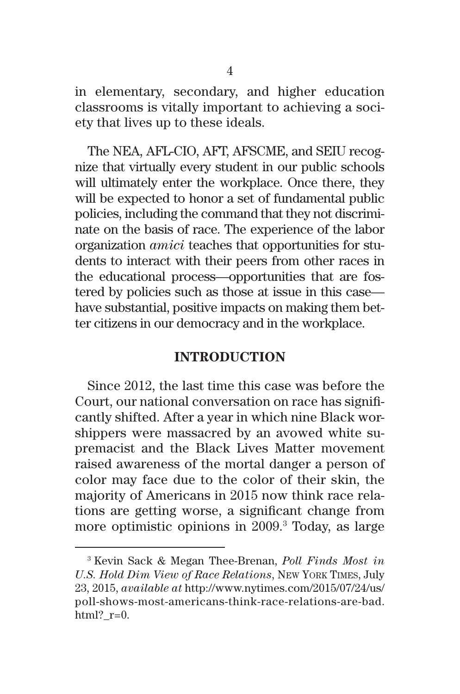in elementary, secondary, and higher education classrooms is vitally important to achieving a society that lives up to these ideals.

The NEA, AFL-CIO, AFT, AFSCME, and SEIU recognize that virtually every student in our public schools will ultimately enter the workplace. Once there, they will be expected to honor a set of fundamental public policies, including the command that they not discriminate on the basis of race. The experience of the labor organization *amici* teaches that opportunities for students to interact with their peers from other races in the educational process—opportunities that are fostered by policies such as those at issue in this case have substantial, positive impacts on making them better citizens in our democracy and in the workplace.

#### **INTRODUCTION**

Since 2012, the last time this case was before the Court, our national conversation on race has significantly shifted. After a year in which nine Black worshippers were massacred by an avowed white supremacist and the Black Lives Matter movement raised awareness of the mortal danger a person of color may face due to the color of their skin, the majority of Americans in 2015 now think race relations are getting worse, a significant change from more optimistic opinions in 2009.<sup>3</sup> Today, as large

<sup>3</sup> Kevin Sack & Megan Thee-Brenan, *Poll Finds Most in U.S. Hold Dim View of Race Relations*, New York Times, July 23, 2015, *available at* http://www.nytimes.com/2015/07/24/us/ poll-shows-most-americans-think-race-relations-are-bad. html?  $r=0$ .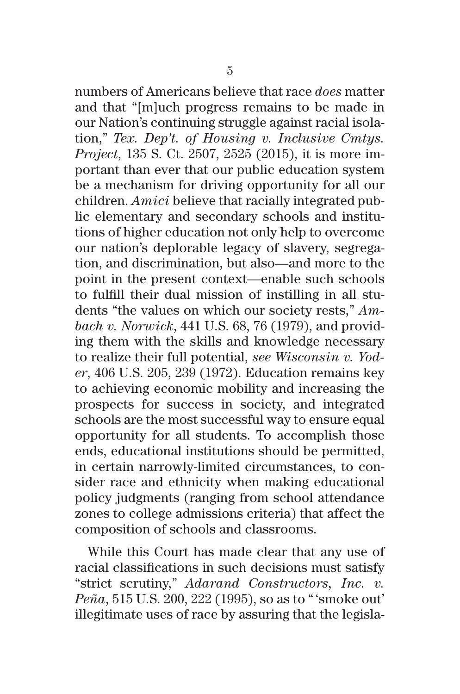numbers of Americans believe that race *does* matter and that "[m]uch progress remains to be made in our Nation's continuing struggle against racial isolation," *Tex. Dep't. of Housing v. Inclusive Cmtys. Project*, 135 S. Ct. 2507, 2525 (2015), it is more important than ever that our public education system be a mechanism for driving opportunity for all our children. *Amici* believe that racially integrated public elementary and secondary schools and institutions of higher education not only help to overcome our nation's deplorable legacy of slavery, segregation, and discrimination, but also—and more to the point in the present context—enable such schools to fulfill their dual mission of instilling in all students "the values on which our society rests," *Ambach v. Norwick*, 441 U.S. 68, 76 (1979), and providing them with the skills and knowledge necessary to realize their full potential, *see Wisconsin v. Yoder*, 406 U.S. 205, 239 (1972). Education remains key to achieving economic mobility and increasing the prospects for success in society, and integrated schools are the most successful way to ensure equal opportunity for all students. To accomplish those ends, educational institutions should be permitted, in certain narrowly-limited circumstances, to consider race and ethnicity when making educational policy judgments (ranging from school attendance zones to college admissions criteria) that affect the composition of schools and classrooms.

While this Court has made clear that any use of racial classifications in such decisions must satisfy "strict scrutiny," *Adarand Constructors, Inc. v. Peña*, 515 U.S. 200, 222 (1995), so as to "'smoke out' illegitimate uses of race by assuring that the legisla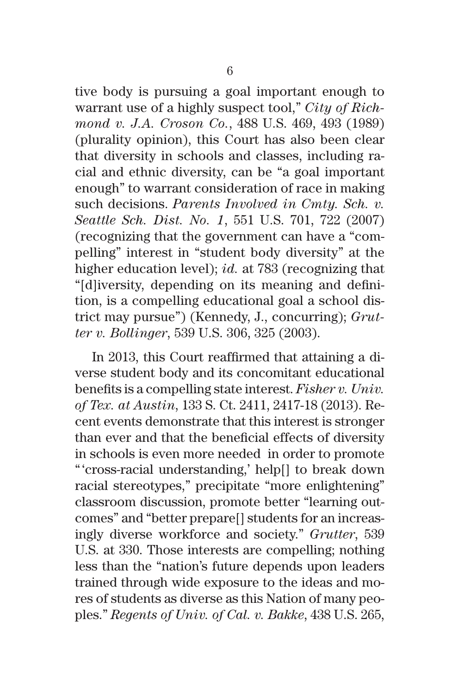tive body is pursuing a goal important enough to warrant use of a highly suspect tool," *City of Richmond v. J.A. Croson Co.*, 488 U.S. 469, 493 (1989) (plurality opinion), this Court has also been clear that diversity in schools and classes, including racial and ethnic diversity, can be "a goal important enough" to warrant consideration of race in making such decisions. *Parents Involved in Cmty. Sch. v. Seattle Sch. Dist. No. 1*, 551 U.S. 701, 722 (2007) (recognizing that the government can have a "compelling" interest in "student body diversity" at the higher education level); *id.* at 783 (recognizing that "[d]iversity, depending on its meaning and definition, is a compelling educational goal a school district may pursue") (Kennedy, J., concurring); *Grutter v. Bollinger*, 539 U.S. 306, 325 (2003).

 In 2013, this Court reaffirmed that attaining a diverse student body and its concomitant educational benefits is a compelling state interest. *Fisher v. Univ. of Tex. at Austin*, 133 S. Ct. 2411, 2417-18 (2013). Recent events demonstrate that this interest is stronger than ever and that the beneficial effects of diversity in schools is even more needed in order to promote "'cross-racial understanding,' help[] to break down racial stereotypes," precipitate "more enlightening" classroom discussion, promote better "learning outcomes" and "better prepare[] students for an increasingly diverse workforce and society." *Grutter*, 539 U.S. at 330. Those interests are compelling; nothing less than the "nation's future depends upon leaders trained through wide exposure to the ideas and mores of students as diverse as this Nation of many peoples." *Regents of Univ. of Cal. v. Bakke*, 438 U.S. 265,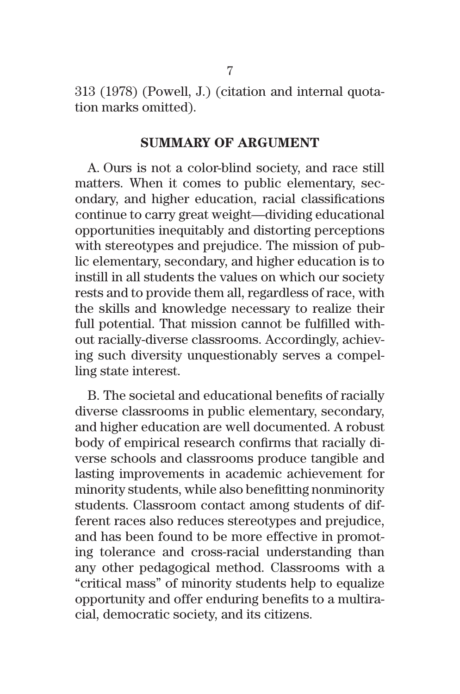313 (1978) (Powell, J.) (citation and internal quotation marks omitted).

#### **SUMMARY OF ARGUMENT**

A. Ours is not a color-blind society, and race still matters. When it comes to public elementary, secondary, and higher education, racial classifications continue to carry great weight—dividing educational opportunities inequitably and distorting perceptions with stereotypes and prejudice. The mission of public elementary, secondary, and higher education is to instill in all students the values on which our society rests and to provide them all, regardless of race, with the skills and knowledge necessary to realize their full potential. That mission cannot be fulfilled without racially-diverse classrooms. Accordingly, achieving such diversity unquestionably serves a compelling state interest.

B. The societal and educational benefits of racially diverse classrooms in public elementary, secondary, and higher education are well documented. A robust body of empirical research confirms that racially diverse schools and classrooms produce tangible and lasting improvements in academic achievement for minority students, while also benefitting nonminority students. Classroom contact among students of different races also reduces stereotypes and prejudice, and has been found to be more effective in promoting tolerance and cross-racial understanding than any other pedagogical method. Classrooms with a "critical mass" of minority students help to equalize opportunity and offer enduring benefits to a multiracial, democratic society, and its citizens.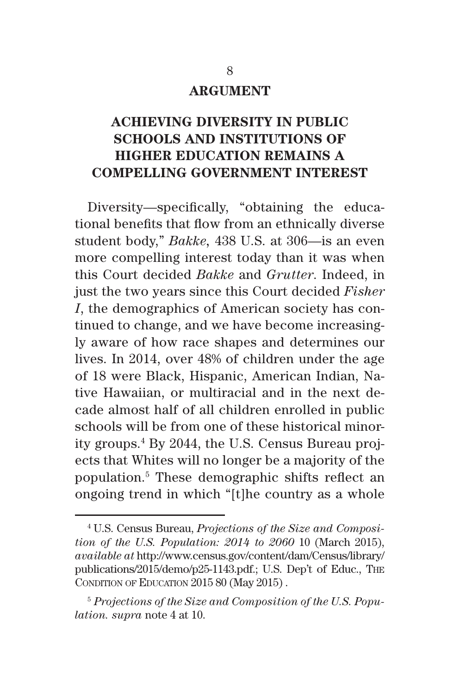#### **ARGUMENT**

## **ACHIEVING DIVERSITY IN PUBLIC SCHOOLS AND INSTITUTIONS OF HIGHER EDUCATION REMAINS A COMPELLING GOVERNMENT INTEREST**

Diversity—specifically, "obtaining the educational benefits that flow from an ethnically diverse student body," *Bakke,* 438 U.S. at 306—is an even more compelling interest today than it was when this Court decided *Bakke* and *Grutter*. Indeed, in just the two years since this Court decided *Fisher I*, the demographics of American society has continued to change, and we have become increasingly aware of how race shapes and determines our lives. In 2014, over 48% of children under the age of 18 were Black, Hispanic, American Indian, Native Hawaiian, or multiracial and in the next decade almost half of all children enrolled in public schools will be from one of these historical minority groups.4 By 2044, the U.S. Census Bureau projects that Whites will no longer be a majority of the population.5 These demographic shifts reflect an ongoing trend in which "[t]he country as a whole

<sup>4</sup> U.S. Census Bureau, *Projections of the Size and Composition of the U.S. Population: 2014 to 2060* 10 (March 2015), *available at* http://www.census.gov/content/dam/Census/library/ publications/2015/demo/p25-1143.pdf.; U.S. Dep't of Educ., The CONDITION OF EDUCATION 2015 80 (May 2015).

<sup>5</sup> *Projections of the Size and Composition of the U.S. Population. supra* note 4 at 10.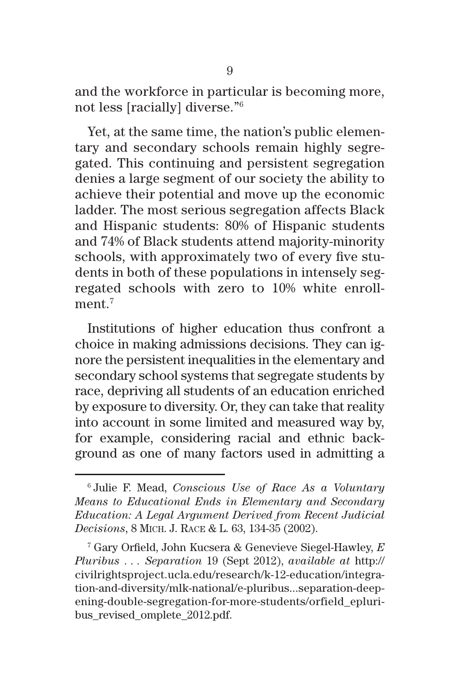and the workforce in particular is becoming more, not less [racially] diverse."6

Yet, at the same time, the nation's public elementary and secondary schools remain highly segregated. This continuing and persistent segregation denies a large segment of our society the ability to achieve their potential and move up the economic ladder. The most serious segregation affects Black and Hispanic students: 80% of Hispanic students and 74% of Black students attend majority-minority schools, with approximately two of every five students in both of these populations in intensely segregated schools with zero to 10% white enrollment. $7$ 

Institutions of higher education thus confront a choice in making admissions decisions. They can ignore the persistent inequalities in the elementary and secondary school systems that segregate students by race, depriving all students of an education enriched by exposure to diversity. Or, they can take that reality into account in some limited and measured way by, for example, considering racial and ethnic background as one of many factors used in admitting a

<sup>6</sup> Julie F. Mead, *Conscious Use of Race As a Voluntary Means to Educational Ends in Elementary and Secondary Education: A Legal Argument Derived from Recent Judicial Decisions*, 8 Mich. J. Race & L. 63, 134-35 (2002).

<sup>7</sup> Gary Orfield, John Kucsera & Genevieve Siegel-Hawley, *E Pluribus . . . Separation* 19 (Sept 2012), *available at* http:// civilrightsproject.ucla.edu/research/k-12-education/integration-and-diversity/mlk-national/e-pluribus...separation-deepening-double-segregation-for-more-students/orfield\_epluribus revised omplete 2012.pdf.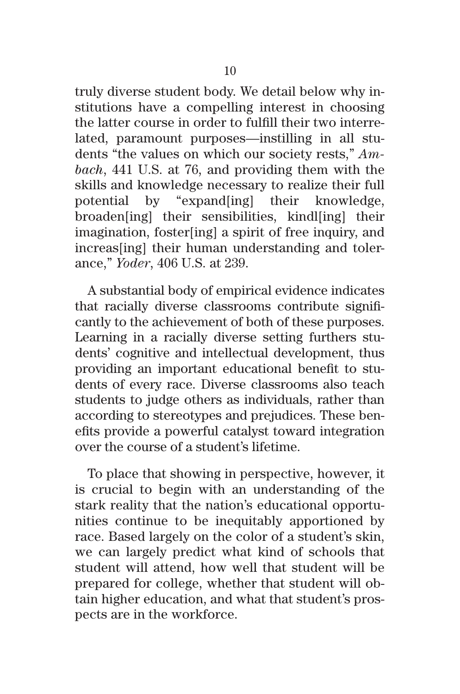truly diverse student body. We detail below why institutions have a compelling interest in choosing the latter course in order to fulfill their two interrelated, paramount purposes—instilling in all students "the values on which our society rests," *Ambach*, 441 U.S. at 76, and providing them with the skills and knowledge necessary to realize their full potential by "expand[ing] their knowledge, broaden[ing] their sensibilities, kindl[ing] their imagination, foster[ing] a spirit of free inquiry, and increas[ing] their human understanding and tolerance," *Yoder*, 406 U.S. at 239.

A substantial body of empirical evidence indicates that racially diverse classrooms contribute significantly to the achievement of both of these purposes. Learning in a racially diverse setting furthers students' cognitive and intellectual development, thus providing an important educational benefit to students of every race. Diverse classrooms also teach students to judge others as individuals, rather than according to stereotypes and prejudices. These benefits provide a powerful catalyst toward integration over the course of a student's lifetime.

To place that showing in perspective, however, it is crucial to begin with an understanding of the stark reality that the nation's educational opportunities continue to be inequitably apportioned by race. Based largely on the color of a student's skin, we can largely predict what kind of schools that student will attend, how well that student will be prepared for college, whether that student will obtain higher education, and what that student's prospects are in the workforce.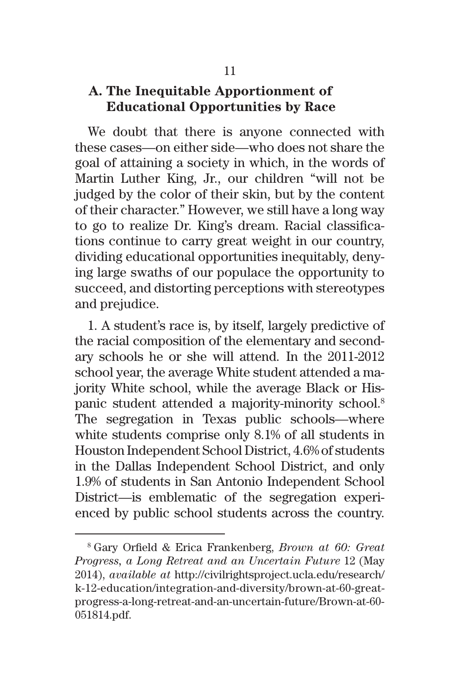#### **A. The Inequitable Apportionment of Educational Opportunities by Race**

We doubt that there is anyone connected with these cases—on either side—who does not share the goal of attaining a society in which, in the words of Martin Luther King, Jr., our children "will not be judged by the color of their skin, but by the content of their character." However, we still have a long way to go to realize Dr. King's dream. Racial classifications continue to carry great weight in our country, dividing educational opportunities inequitably, denying large swaths of our populace the opportunity to succeed, and distorting perceptions with stereotypes and prejudice.

1. A student's race is, by itself, largely predictive of the racial composition of the elementary and secondary schools he or she will attend. In the 2011-2012 school year, the average White student attended a majority White school, while the average Black or Hispanic student attended a majority-minority school.8 The segregation in Texas public schools—where white students comprise only 8.1% of all students in Houston Independent School District, 4.6% of students in the Dallas Independent School District, and only 1.9% of students in San Antonio Independent School District—is emblematic of the segregation experienced by public school students across the country.

<sup>8</sup> Gary Orfield & Erica Frankenberg, *Brown at 60: Great Progress, a Long Retreat and an Uncertain Future* 12 (May 2014), *available at* http://civilrightsproject.ucla.edu/research/ k-12-education/integration-and-diversity/brown-at-60-greatprogress-a-long-retreat-and-an-uncertain-future/Brown-at-60- 051814.pdf.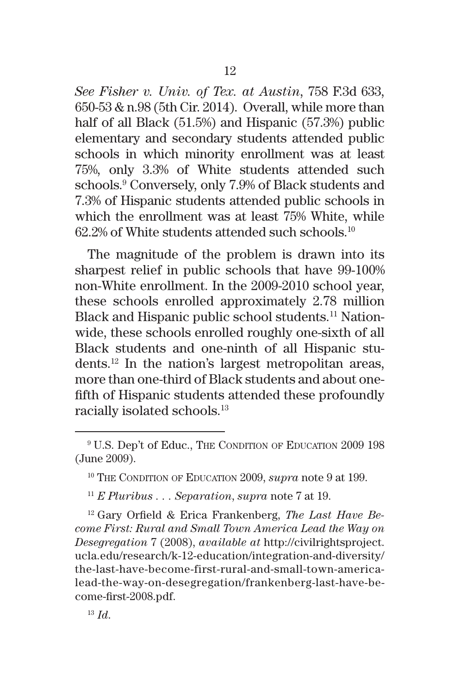*See Fisher v. Univ. of Tex. at Austin*, 758 F.3d 633, 650-53 & n.98 (5th Cir. 2014). Overall, while more than half of all Black (51.5%) and Hispanic (57.3%) public elementary and secondary students attended public schools in which minority enrollment was at least 75%, only 3.3% of White students attended such schools.9 Conversely, only 7.9% of Black students and 7.3% of Hispanic students attended public schools in which the enrollment was at least 75% White, while  $62.2\%$  of White students attended such schools.<sup>10</sup>

The magnitude of the problem is drawn into its sharpest relief in public schools that have 99-100% non-White enrollment. In the 2009-2010 school year, these schools enrolled approximately 2.78 million Black and Hispanic public school students.<sup>11</sup> Nationwide, these schools enrolled roughly one-sixth of all Black students and one-ninth of all Hispanic students.12 In the nation's largest metropolitan areas, more than one-third of Black students and about onefifth of Hispanic students attended these profoundly racially isolated schools.13

<sup>12</sup> Gary Orfield & Erica Frankenberg, *The Last Have Become First: Rural and Small Town America Lead the Way on Desegregation* 7 (2008), *available at* http://civilrightsproject. ucla.edu/research/k-12-education/integration-and-diversity/ the-last-have-become-first-rural-and-small-town-americalead-the-way-on-desegregation/frankenberg-last-have-become-first-2008.pdf.

<sup>13</sup> *Id*.

<sup>&</sup>lt;sup>9</sup> U.S. Dep't of Educ., The Condition of Education 2009 198 (June 2009).

<sup>&</sup>lt;sup>10</sup> THE CONDITION OF EDUCATION 2009, *supra* note 9 at 199.

<sup>11</sup> *E Pluribus . . . Separation*, *supra* note 7 at 19.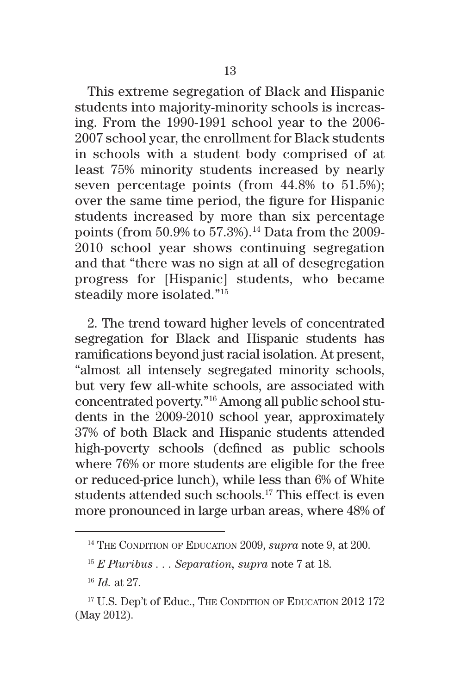This extreme segregation of Black and Hispanic students into majority-minority schools is increasing. From the 1990-1991 school year to the 2006- 2007 school year, the enrollment for Black students in schools with a student body comprised of at least 75% minority students increased by nearly seven percentage points (from 44.8% to 51.5%); over the same time period, the figure for Hispanic students increased by more than six percentage points (from 50.9% to 57.3%).<sup>14</sup> Data from the 2009-2010 school year shows continuing segregation and that "there was no sign at all of desegregation progress for [Hispanic] students, who became steadily more isolated."15

2. The trend toward higher levels of concentrated segregation for Black and Hispanic students has ramifications beyond just racial isolation. At present, "almost all intensely segregated minority schools, but very few all-white schools, are associated with concentrated poverty."16 Among all public school students in the 2009-2010 school year, approximately 37% of both Black and Hispanic students attended high-poverty schools (defined as public schools where 76% or more students are eligible for the free or reduced-price lunch), while less than 6% of White students attended such schools.17 This effect is even more pronounced in large urban areas, where 48% of

<sup>&</sup>lt;sup>14</sup> THE CONDITION OF EDUCATION 2009, *supra* note 9, at 200.

<sup>15</sup> *E Pluribus . . . Separation, supra* note 7 at 18.

<sup>16</sup> *Id.* at 27.

<sup>&</sup>lt;sup>17</sup> U.S. Dep't of Educ., The Condition of Education 2012 172 (May 2012).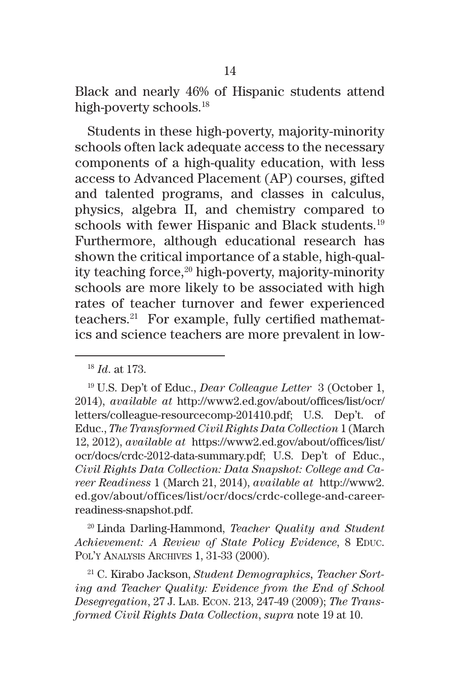Black and nearly 46% of Hispanic students attend high-poverty schools.<sup>18</sup>

Students in these high-poverty, majority-minority schools often lack adequate access to the necessary components of a high-quality education, with less access to Advanced Placement (AP) courses, gifted and talented programs, and classes in calculus, physics, algebra II, and chemistry compared to schools with fewer Hispanic and Black students.<sup>19</sup> Furthermore, although educational research has shown the critical importance of a stable, high-quality teaching force, $20$  high-poverty, majority-minority schools are more likely to be associated with high rates of teacher turnover and fewer experienced teachers.21 For example, fully certified mathematics and science teachers are more prevalent in low-

<sup>20</sup> Linda Darling-Hammond, *Teacher Quality and Student Achievement: A Review of State Policy Evidence*, 8 EDUC. Pol'y Analysis Archives 1, 31-33 (2000).

<sup>21</sup> C. Kirabo Jackson, *Student Demographics, Teacher Sorting and Teacher Quality: Evidence from the End of School Desegregation*, 27 J. Lab. Econ. 213, 247-49 (2009); *The Transformed Civil Rights Data Collection*, *supra* note 19 at 10.

<sup>18</sup> *Id*. at 173.

<sup>19</sup> U.S. Dep't of Educ., *Dear Colleague Letter* 3 (October 1, 2014), *available at* http://www2.ed.gov/about/offices/list/ocr/ letters/colleague-resourcecomp-201410.pdf; U.S. Dep't. of Educ., *The Transformed Civil Rights Data Collection* 1 (March 12, 2012), *available at* https://www2.ed.gov/about/offices/list/ ocr/docs/crdc-2012-data-summary.pdf; U.S. Dep't of Educ., *Civil Rights Data Collection: Data Snapshot: College and Career Readiness* 1 (March 21, 2014), *available at* http://www2. ed.gov/about/offices/list/ocr/docs/crdc-college-and-careerreadiness-snapshot.pdf.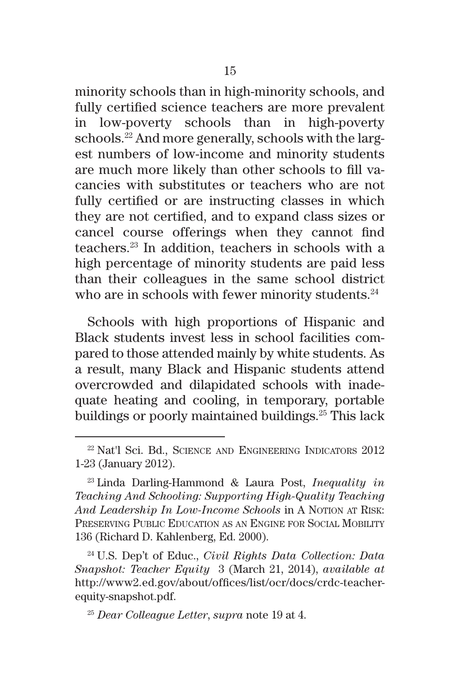minority schools than in high-minority schools, and fully certified science teachers are more prevalent in low-poverty schools than in high-poverty schools.22 And more generally, schools with the largest numbers of low-income and minority students are much more likely than other schools to fill vacancies with substitutes or teachers who are not fully certified or are instructing classes in which they are not certified, and to expand class sizes or cancel course offerings when they cannot find teachers.23 In addition, teachers in schools with a high percentage of minority students are paid less than their colleagues in the same school district who are in schools with fewer minority students.<sup>24</sup>

Schools with high proportions of Hispanic and Black students invest less in school facilities compared to those attended mainly by white students. As a result, many Black and Hispanic students attend overcrowded and dilapidated schools with inadequate heating and cooling, in temporary, portable buildings or poorly maintained buildings.<sup>25</sup> This lack

<sup>24</sup> U.S. Dep't of Educ., *Civil Rights Data Collection: Data Snapshot: Teacher Equity* 3 (March 21, 2014), *available at* http://www2.ed.gov/about/offices/list/ocr/docs/crdc-teacherequity-snapshot.pdf.

<sup>22</sup> Nat'l Sci. Bd., Science and Engineering Indicators 2012 1-23 (January 2012).

<sup>23</sup> Linda Darling-Hammond & Laura Post, *Inequality in Teaching And Schooling: Supporting High-Quality Teaching*  And Leadership In Low-Income Schools in A Notion at Risk: Preserving Public Education as an Engine for Social Mobility 136 (Richard D. Kahlenberg, Ed. 2000).

<sup>25</sup> *Dear Colleague Letter*, *supra* note 19 at 4.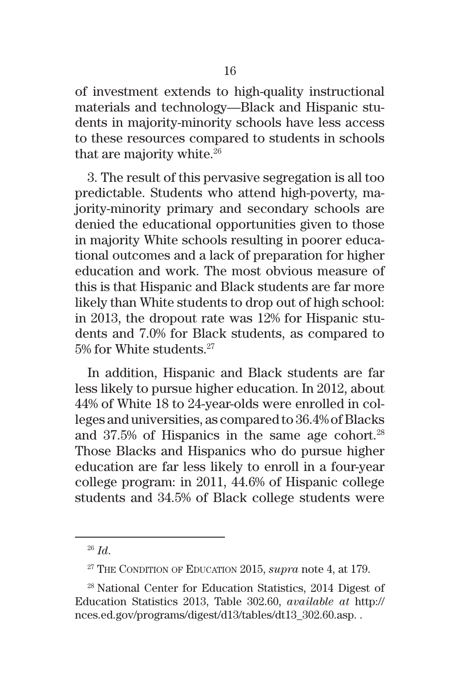of investment extends to high-quality instructional materials and technology—Black and Hispanic students in majority-minority schools have less access to these resources compared to students in schools that are majority white.<sup>26</sup>

3. The result of this pervasive segregation is all too predictable. Students who attend high-poverty, majority-minority primary and secondary schools are denied the educational opportunities given to those in majority White schools resulting in poorer educational outcomes and a lack of preparation for higher education and work. The most obvious measure of this is that Hispanic and Black students are far more likely than White students to drop out of high school: in 2013, the dropout rate was 12% for Hispanic students and 7.0% for Black students, as compared to 5% for White students.<sup>27</sup>

In addition, Hispanic and Black students are far less likely to pursue higher education. In 2012, about 44% of White 18 to 24-year-olds were enrolled in colleges and universities, as compared to 36.4% of Blacks and 37.5% of Hispanics in the same age cohort.<sup>28</sup> Those Blacks and Hispanics who do pursue higher education are far less likely to enroll in a four-year college program: in 2011, 44.6% of Hispanic college students and 34.5% of Black college students were

<sup>26</sup> *Id*.

<sup>&</sup>lt;sup>27</sup> THE CONDITION OF EDUCATION 2015, *supra* note 4, at 179.

<sup>28</sup> National Center for Education Statistics, 2014 Digest of Education Statistics 2013, Table 302.60, *available at* http:// nces.ed.gov/programs/digest/d13/tables/dt13\_302.60.asp. .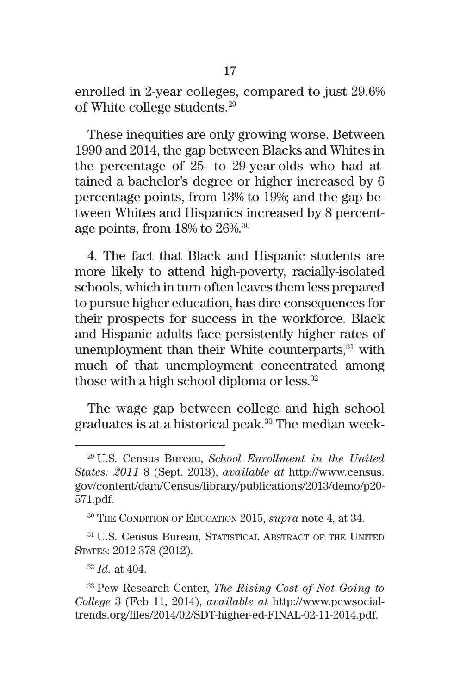enrolled in 2-year colleges, compared to just 29.6% of White college students.29

These inequities are only growing worse. Between 1990 and 2014, the gap between Blacks and Whites in the percentage of 25- to 29-year-olds who had attained a bachelor's degree or higher increased by 6 percentage points, from 13% to 19%; and the gap between Whites and Hispanics increased by 8 percentage points, from 18% to 26%.30

4. The fact that Black and Hispanic students are more likely to attend high-poverty, racially-isolated schools, which in turn often leaves them less prepared to pursue higher education, has dire consequences for their prospects for success in the workforce. Black and Hispanic adults face persistently higher rates of unemployment than their White counterparts, $31$  with much of that unemployment concentrated among those with a high school diploma or less. $32$ 

The wage gap between college and high school graduates is at a historical peak.33 The median week-

<sup>29</sup> U.S. Census Bureau, *School Enrollment in the United States: 2011* 8 (Sept. 2013), *available at* http://www.census. gov/content/dam/Census/library/publications/2013/demo/p20- 571.pdf.

<sup>&</sup>lt;sup>30</sup> THE CONDITION OF EDUCATION 2015, *supra* note 4, at 34.

<sup>&</sup>lt;sup>31</sup> U.S. Census Bureau, STATISTICAL ABSTRACT OF THE UNITED States: 2012 378 (2012).

<sup>32</sup> *Id.* at 404.

<sup>33</sup> Pew Research Center, *The Rising Cost of Not Going to College* 3 (Feb 11, 2014), *available at* http://www.pewsocialtrends.org/files/2014/02/SDT-higher-ed-FINAL-02-11-2014.pdf.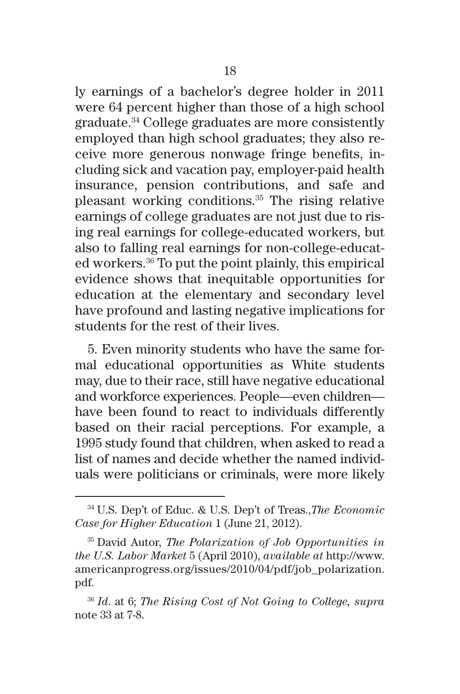ly earnings of a bachelor's degree holder in 2011 were 64 percent higher than those of a high school graduate.34 College graduates are more consistently employed than high school graduates; they also receive more generous nonwage fringe benefits, including sick and vacation pay, employer-paid health insurance, pension contributions, and safe and pleasant working conditions.35 The rising relative earnings of college graduates are not just due to rising real earnings for college-educated workers, but also to falling real earnings for non-college-educated workers.36 To put the point plainly, this empirical evidence shows that inequitable opportunities for education at the elementary and secondary level have profound and lasting negative implications for students for the rest of their lives.

5. Even minority students who have the same formal educational opportunities as White students may, due to their race, still have negative educational and workforce experiences. People—even children have been found to react to individuals differently based on their racial perceptions. For example, a 1995 study found that children, when asked to read a list of names and decide whether the named individuals were politicians or criminals, were more likely

<sup>34</sup> U.S. Dep't of Educ. & U.S. Dep't of Treas.,*The Economic Case for Higher Education* 1 (June 21, 2012).

<sup>35</sup> David Autor, *The Polarization of Job Opportunities in the U.S. Labor Market* 5 (April 2010), *available at* http://www. americanprogress.org/issues/2010/04/pdf/job\_polarization. pdf.

<sup>36</sup> *Id*. at 6; *The Rising Cost of Not Going to College, supra*  note 33 at 7-8.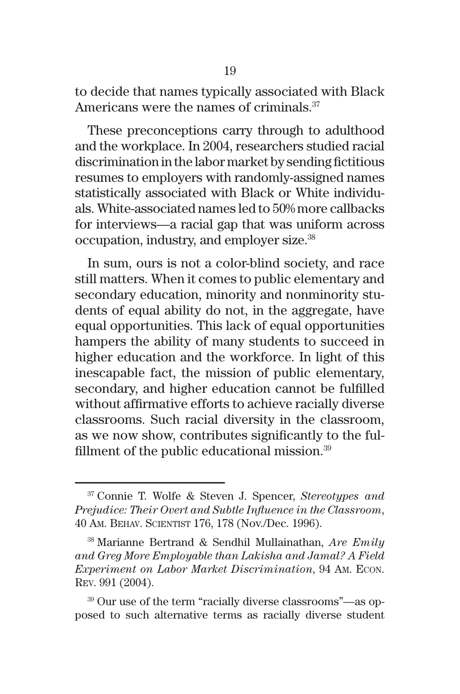to decide that names typically associated with Black Americans were the names of criminals.<sup>37</sup>

These preconceptions carry through to adulthood and the workplace. In 2004, researchers studied racial discrimination in the labor market by sending fictitious resumes to employers with randomly-assigned names statistically associated with Black or White individuals. White-associated names led to 50% more callbacks for interviews—a racial gap that was uniform across occupation, industry, and employer size.38

In sum, ours is not a color-blind society, and race still matters. When it comes to public elementary and secondary education, minority and nonminority students of equal ability do not, in the aggregate, have equal opportunities. This lack of equal opportunities hampers the ability of many students to succeed in higher education and the workforce. In light of this inescapable fact, the mission of public elementary, secondary, and higher education cannot be fulfilled without affirmative efforts to achieve racially diverse classrooms. Such racial diversity in the classroom, as we now show, contributes significantly to the fulfillment of the public educational mission.39

<sup>37</sup> Connie T. Wolfe & Steven J. Spencer, *Stereotypes and Prejudice: Their Overt and Subtle Influence in the Classroom*, 40 Am. Behav. Scientist 176, 178 (Nov./Dec. 1996).

<sup>38</sup> Marianne Bertrand & Sendhil Mullainathan, *Are Emily and Greg More Employable than Lakisha and Jamal? A Field Experiment on Labor Market Discrimination*, 94 Am. Econ. Rev. 991 (2004).

<sup>39</sup> Our use of the term "racially diverse classrooms"—as opposed to such alternative terms as racially diverse student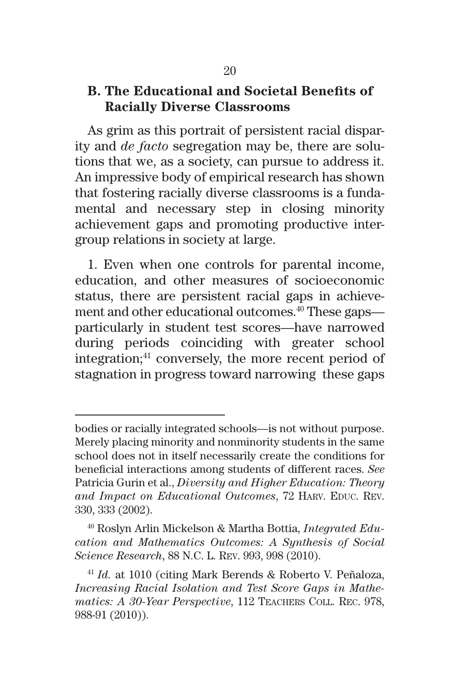#### **B. The Educational and Societal Benefits of Racially Diverse Classrooms**

As grim as this portrait of persistent racial disparity and *de facto* segregation may be, there are solutions that we, as a society, can pursue to address it. An impressive body of empirical research has shown that fostering racially diverse classrooms is a fundamental and necessary step in closing minority achievement gaps and promoting productive intergroup relations in society at large.

1. Even when one controls for parental income, education, and other measures of socioeconomic status, there are persistent racial gaps in achievement and other educational outcomes.40 These gaps particularly in student test scores—have narrowed during periods coinciding with greater school integration;<sup>41</sup> conversely, the more recent period of stagnation in progress toward narrowing these gaps

bodies or racially integrated schools—is not without purpose. Merely placing minority and nonminority students in the same school does not in itself necessarily create the conditions for beneficial interactions among students of different races. *See* Patricia Gurin et al., *Diversity and Higher Education: Theory*  and Impact on Educational Outcomes, 72 HARV. EDUC. REV. 330, 333 (2002).

<sup>40</sup> Roslyn Arlin Mickelson & Martha Bottia, *Integrated Education and Mathematics Outcomes: A Synthesis of Social Science Research*, 88 N.C. L. Rev. 993, 998 (2010).

<sup>41</sup> *Id.* at 1010 (citing Mark Berends & Roberto V. Peñaloza, *Increasing Racial Isolation and Test Score Gaps in Mathematics: A 30-Year Perspective*, 112 Teachers Coll. Rec. 978, 988-91 (2010)).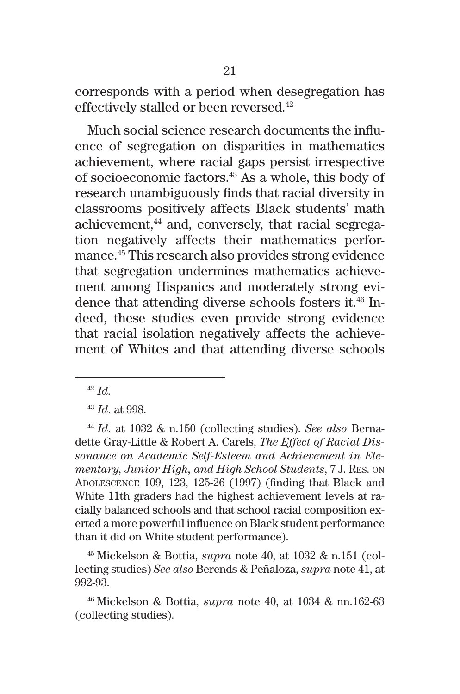corresponds with a period when desegregation has effectively stalled or been reversed.<sup>42</sup>

Much social science research documents the influence of segregation on disparities in mathematics achievement, where racial gaps persist irrespective of socioeconomic factors.43 As a whole, this body of research unambiguously finds that racial diversity in classrooms positively affects Black students' math achievement,<sup>44</sup> and, conversely, that racial segregation negatively affects their mathematics performance.45 This research also provides strong evidence that segregation undermines mathematics achievement among Hispanics and moderately strong evidence that attending diverse schools fosters it.<sup>46</sup> Indeed, these studies even provide strong evidence that racial isolation negatively affects the achievement of Whites and that attending diverse schools

<sup>42</sup> *Id.* 

<sup>45</sup> Mickelson & Bottia, *supra* note 40, at 1032 & n.151 (collecting studies) *See also* Berends & Peñaloza, *supra* note 41, at 992-93.

<sup>46</sup> Mickelson & Bottia, *supra* note 40, at 1034 & nn.162-63 (collecting studies).

<sup>43</sup> *Id*. at 998.

<sup>44</sup> *Id*. at 1032 & n.150 (collecting studies). *See also* Bernadette Gray-Little & Robert A. Carels, *The Effect of Racial Dissonance on Academic Self-Esteem and Achievement in Elementary, Junior High, and High School Students*, 7 J. Res. on Adolescence 109, 123, 125-26 (1997) (finding that Black and White 11th graders had the highest achievement levels at racially balanced schools and that school racial composition exerted a more powerful influence on Black student performance than it did on White student performance).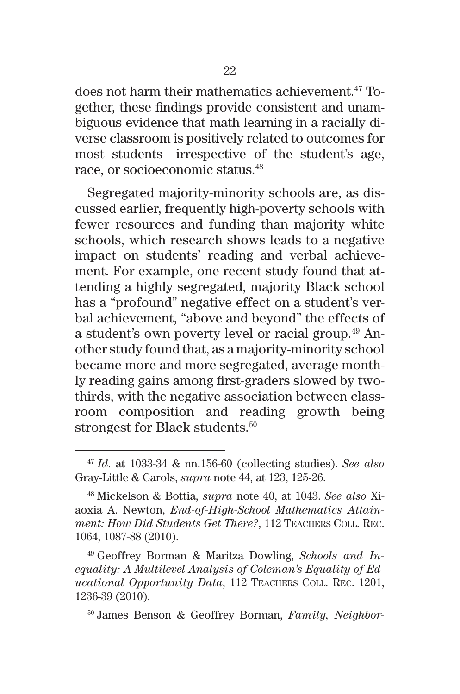does not harm their mathematics achievement.<sup>47</sup> Together, these findings provide consistent and unambiguous evidence that math learning in a racially diverse classroom is positively related to outcomes for most students—irrespective of the student's age, race, or socioeconomic status.48

Segregated majority-minority schools are, as discussed earlier, frequently high-poverty schools with fewer resources and funding than majority white schools, which research shows leads to a negative impact on students' reading and verbal achievement. For example, one recent study found that attending a highly segregated, majority Black school has a "profound" negative effect on a student's verbal achievement, "above and beyond" the effects of a student's own poverty level or racial group.<sup>49</sup> Another study found that, as a majority-minority school became more and more segregated, average monthly reading gains among first-graders slowed by twothirds, with the negative association between classroom composition and reading growth being strongest for Black students.<sup>50</sup>

<sup>49</sup> Geoffrey Borman & Maritza Dowling, *Schools and Inequality: A Multilevel Analysis of Coleman's Equality of Educational Opportunity Data*, 112 Teachers Coll. Rec. 1201, 1236-39 (2010).

<sup>50</sup> James Benson & Geoffrey Borman, *Family, Neighbor-*

<sup>47</sup> *Id*. at 1033-34 & nn.156-60 (collecting studies). *See also* Gray-Little & Carols, *supra* note 44, at 123, 125-26.

<sup>48</sup> Mickelson & Bottia, *supra* note 40, at 1043. *See also* Xiaoxia A. Newton, *End-of-High-School Mathematics Attainment: How Did Students Get There?*, 112 Teachers Coll. Rec. 1064, 1087-88 (2010).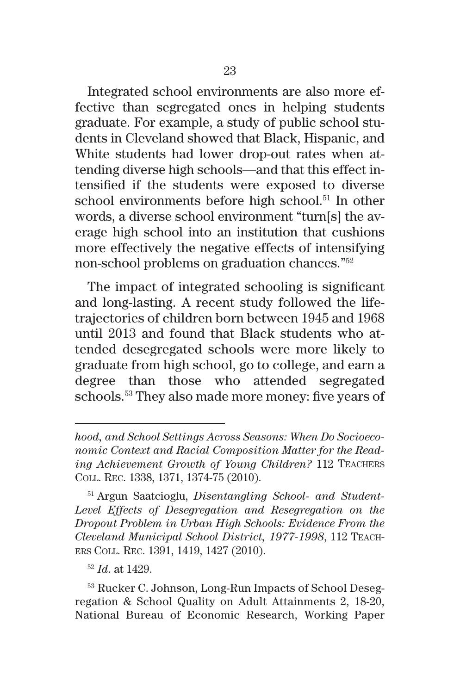Integrated school environments are also more effective than segregated ones in helping students graduate. For example, a study of public school students in Cleveland showed that Black, Hispanic, and White students had lower drop-out rates when attending diverse high schools—and that this effect intensified if the students were exposed to diverse school environments before high school.<sup>51</sup> In other words, a diverse school environment "turn[s] the average high school into an institution that cushions more effectively the negative effects of intensifying non-school problems on graduation chances."52

The impact of integrated schooling is significant and long-lasting. A recent study followed the lifetrajectories of children born between 1945 and 1968 until 2013 and found that Black students who attended desegregated schools were more likely to graduate from high school, go to college, and earn a degree than those who attended segregated schools.53 They also made more money: five years of

<sup>51</sup> Argun Saatcioglu, *Disentangling School- and Student-Level Effects of Desegregation and Resegregation on the Dropout Problem in Urban High Schools: Evidence From the Cleveland Municipal School District, 1977-1998*, 112 Teachers Coll. Rec. 1391, 1419, 1427 (2010).

<sup>52</sup> *Id*. at 1429.

<sup>53</sup> Rucker C. Johnson, Long-Run Impacts of School Desegregation & School Quality on Adult Attainments 2, 18-20, National Bureau of Economic Research, Working Paper

*hood, and School Settings Across Seasons: When Do Socioeconomic Context and Racial Composition Matter for the Reading Achievement Growth of Young Children?* 112 Teachers Coll. Rec. 1338, 1371, 1374-75 (2010).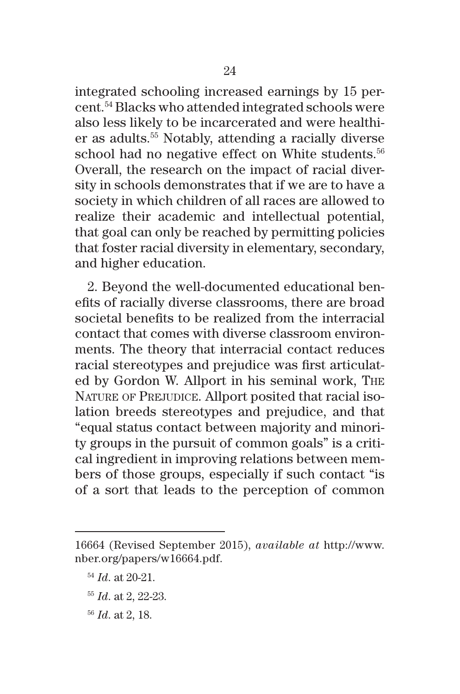integrated schooling increased earnings by 15 percent.54 Blacks who attended integrated schools were also less likely to be incarcerated and were healthier as adults.55 Notably, attending a racially diverse school had no negative effect on White students.<sup>56</sup> Overall, the research on the impact of racial diversity in schools demonstrates that if we are to have a society in which children of all races are allowed to realize their academic and intellectual potential, that goal can only be reached by permitting policies that foster racial diversity in elementary, secondary, and higher education.

2. Beyond the well-documented educational benefits of racially diverse classrooms, there are broad societal benefits to be realized from the interracial contact that comes with diverse classroom environments. The theory that interracial contact reduces racial stereotypes and prejudice was first articulated by Gordon W. Allport in his seminal work, The NATURE OF PREJUDICE. Allport posited that racial isolation breeds stereotypes and prejudice, and that "equal status contact between majority and minority groups in the pursuit of common goals" is a critical ingredient in improving relations between members of those groups, especially if such contact "is of a sort that leads to the perception of common

- <sup>55</sup> *Id*. at 2, 22-23.
- <sup>56</sup> *Id*. at 2, 18.

<sup>16664 (</sup>Revised September 2015), *available at* http://www. nber.org/papers/w16664.pdf.

<sup>54</sup> *Id*. at 20-21.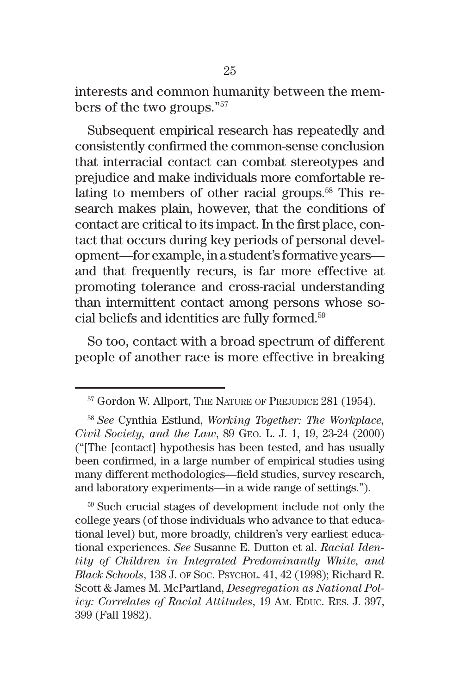interests and common humanity between the members of the two groups."57

Subsequent empirical research has repeatedly and consistently confirmed the common-sense conclusion that interracial contact can combat stereotypes and prejudice and make individuals more comfortable relating to members of other racial groups.58 This research makes plain, however, that the conditions of contact are critical to its impact. In the first place, contact that occurs during key periods of personal development—for example, in a student's formative years and that frequently recurs, is far more effective at promoting tolerance and cross-racial understanding than intermittent contact among persons whose social beliefs and identities are fully formed.59

So too, contact with a broad spectrum of different people of another race is more effective in breaking

<sup>59</sup> Such crucial stages of development include not only the college years (of those individuals who advance to that educational level) but, more broadly, children's very earliest educational experiences. *See* Susanne E. Dutton et al. *Racial Identity of Children in Integrated Predominantly White, and Black Schools*, 138 J. of Soc. Psychol. 41, 42 (1998); Richard R. Scott & James M. McPartland, *Desegregation as National Policy: Correlates of Racial Attitudes*, 19 Am. EDUC. Res. J. 397, 399 (Fall 1982).

<sup>&</sup>lt;sup>57</sup> Gordon W. Allport, THE NATURE OF PREJUDICE 281 (1954).

<sup>58</sup> *See* Cynthia Estlund, *Working Together: The Workplace, Civil Society, and the Law*, 89 Geo. L. J. 1, 19, 23-24 (2000) ("[The [contact] hypothesis has been tested, and has usually been confirmed, in a large number of empirical studies using many different methodologies—field studies, survey research, and laboratory experiments—in a wide range of settings.").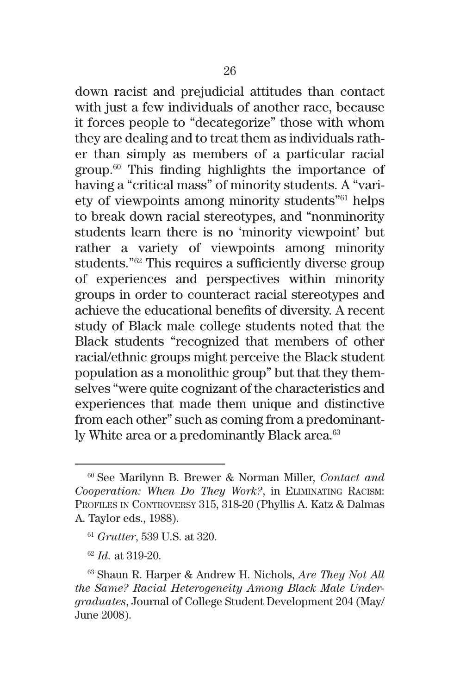down racist and prejudicial attitudes than contact with just a few individuals of another race, because it forces people to "decategorize" those with whom they are dealing and to treat them as individuals rather than simply as members of a particular racial group.60 This finding highlights the importance of having a "critical mass" of minority students. A "variety of viewpoints among minority students"61 helps to break down racial stereotypes, and "nonminority students learn there is no 'minority viewpoint' but rather a variety of viewpoints among minority students."62 This requires a sufficiently diverse group of experiences and perspectives within minority groups in order to counteract racial stereotypes and achieve the educational benefits of diversity. A recent study of Black male college students noted that the Black students "recognized that members of other racial/ethnic groups might perceive the Black student population as a monolithic group" but that they themselves "were quite cognizant of the characteristics and experiences that made them unique and distinctive from each other" such as coming from a predominantly White area or a predominantly Black area.<sup>63</sup>

<sup>60</sup> See Marilynn B. Brewer & Norman Miller, *Contact and Cooperation: When Do They Work?*, in Eliminating Racism: Profiles in Controversy 315, 318-20 (Phyllis A. Katz & Dalmas A. Taylor eds., 1988).

<sup>61</sup> *Grutter*, 539 U.S. at 320.

<sup>62</sup> *Id.* at 319-20.

<sup>63</sup> Shaun R. Harper & Andrew H. Nichols, *Are They Not All the Same? Racial Heterogeneity Among Black Male Undergraduates*, Journal of College Student Development 204 (May/ June 2008).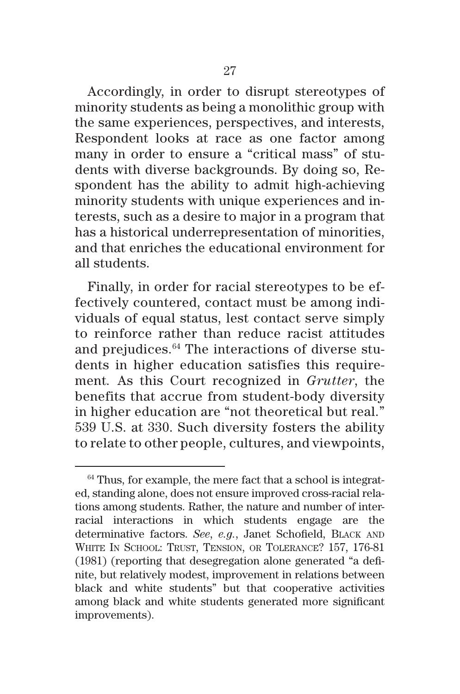Accordingly, in order to disrupt stereotypes of minority students as being a monolithic group with the same experiences, perspectives, and interests, Respondent looks at race as one factor among many in order to ensure a "critical mass" of students with diverse backgrounds. By doing so, Respondent has the ability to admit high-achieving minority students with unique experiences and interests, such as a desire to major in a program that has a historical underrepresentation of minorities, and that enriches the educational environment for all students.

Finally, in order for racial stereotypes to be effectively countered, contact must be among individuals of equal status, lest contact serve simply to reinforce rather than reduce racist attitudes and prejudices.64 The interactions of diverse students in higher education satisfies this requirement*.* As this Court recognized in *Grutter*, the benefits that accrue from student-body diversity in higher education are "not theoretical but real." 539 U.S. at 330. Such diversity fosters the ability to relate to other people, cultures, and viewpoints,

 $64$  Thus, for example, the mere fact that a school is integrated, standing alone, does not ensure improved cross-racial relations among students. Rather, the nature and number of interracial interactions in which students engage are the determinative factors. *See*, *e.g.*, Janet Schofield, Black and WHITE IN SCHOOL: TRUST, TENSION, OR TOLERANCE? 157, 176-81 (1981) (reporting that desegregation alone generated "a definite, but relatively modest, improvement in relations between black and white students" but that cooperative activities among black and white students generated more significant improvements).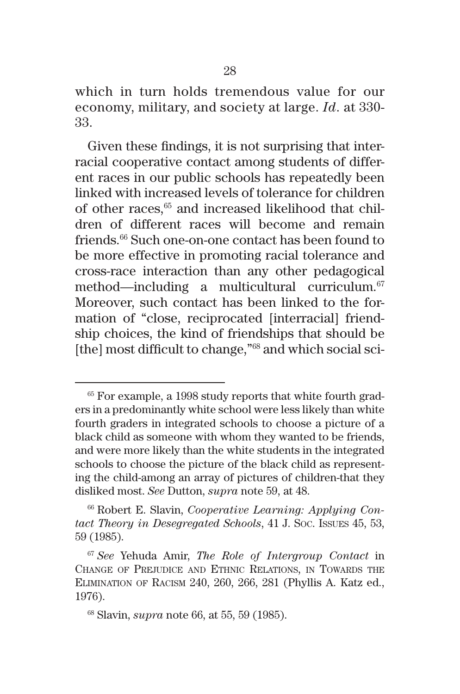which in turn holds tremendous value for our economy, military, and society at large. *Id*. at 330- 33.

Given these findings, it is not surprising that interracial cooperative contact among students of different races in our public schools has repeatedly been linked with increased levels of tolerance for children of other races,<sup>65</sup> and increased likelihood that children of different races will become and remain friends.<sup>66</sup> Such one-on-one contact has been found to be more effective in promoting racial tolerance and cross-race interaction than any other pedagogical method—including a multicultural curriculum.<sup>67</sup> Moreover, such contact has been linked to the formation of "close, reciprocated [interracial] friendship choices, the kind of friendships that should be [the] most difficult to change,"<sup>68</sup> and which social sci-

 $65$  For example, a 1998 study reports that white fourth graders in a predominantly white school were less likely than white fourth graders in integrated schools to choose a picture of a black child as someone with whom they wanted to be friends, and were more likely than the white students in the integrated schools to choose the picture of the black child as representing the child-among an array of pictures of children-that they disliked most. *See* Dutton, *supra* note 59, at 48.

<sup>66</sup> Robert E. Slavin, *Cooperative Learning: Applying Contact Theory in Desegregated Schools*, 41 J. Soc. Issues 45, 53, 59 (1985).

<sup>67</sup> *See* Yehuda Amir, *The Role of Intergroup Contact* in Change of Prejudice and Ethnic Relations, in Towards the Elimination of Racism 240, 260, 266, 281 (Phyllis A. Katz ed., 1976).

<sup>68</sup> Slavin, *supra* note 66, at 55, 59 (1985).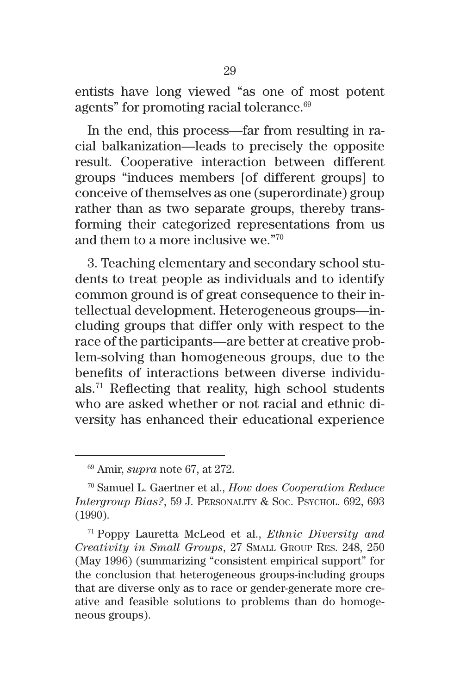entists have long viewed "as one of most potent agents" for promoting racial tolerance.<sup>69</sup>

In the end, this process—far from resulting in racial balkanization—leads to precisely the opposite result. Cooperative interaction between different groups "induces members [of different groups] to conceive of themselves as one (superordinate) group rather than as two separate groups, thereby transforming their categorized representations from us and them to a more inclusive we."70

3. Teaching elementary and secondary school students to treat people as individuals and to identify common ground is of great consequence to their intellectual development. Heterogeneous groups—including groups that differ only with respect to the race of the participants—are better at creative problem-solving than homogeneous groups, due to the benefits of interactions between diverse individuals.71 Reflecting that reality, high school students who are asked whether or not racial and ethnic diversity has enhanced their educational experience

<sup>69</sup> Amir, *supra* note 67, at 272.

<sup>70</sup> Samuel L. Gaertner et al., *How does Cooperation Reduce Intergroup Bias?*, 59 J. Personality & Soc. Psychol. 692, 693 (1990).

<sup>71</sup> Poppy Lauretta McLeod et al., *Ethnic Diversity and Creativity in Small Groups*, 27 Small Group Res. 248, 250 (May 1996) (summarizing "consistent empirical support" for the conclusion that heterogeneous groups-including groups that are diverse only as to race or gender-generate more creative and feasible solutions to problems than do homogeneous groups).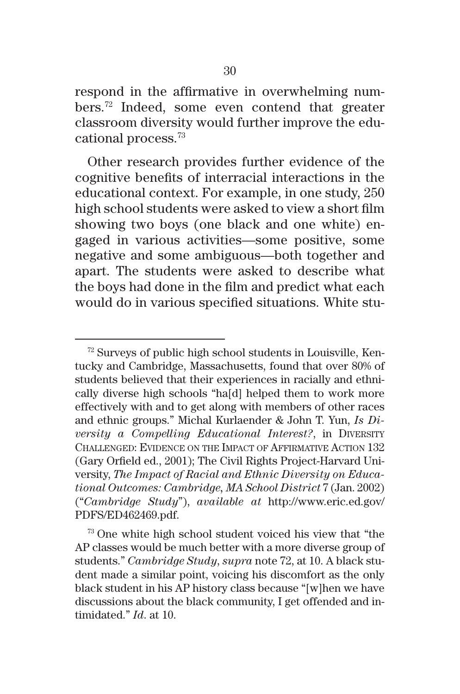respond in the affirmative in overwhelming numbers.72 Indeed, some even contend that greater classroom diversity would further improve the educational process.73

Other research provides further evidence of the cognitive benefits of interracial interactions in the educational context. For example, in one study, 250 high school students were asked to view a short film showing two boys (one black and one white) engaged in various activities—some positive, some negative and some ambiguous—both together and apart. The students were asked to describe what the boys had done in the film and predict what each would do in various specified situations. White stu-

 $72$  Surveys of public high school students in Louisville, Kentucky and Cambridge, Massachusetts, found that over 80% of students believed that their experiences in racially and ethnically diverse high schools "ha[d] helped them to work more effectively with and to get along with members of other races and ethnic groups." Michal Kurlaender & John T. Yun, *Is Diversity a Compelling Educational Interest?*, in DIVERSITY Challenged: Evidence on the Impact of Affirmative Action 132 (Gary Orfield ed., 2001); The Civil Rights Project-Harvard University, *The Impact of Racial and Ethnic Diversity on Educational Outcomes: Cambridge, MA School District* 7 (Jan. 2002) ("*Cambridge Study*"), *available at* http://www.eric.ed.gov/ PDFS/ED462469.pdf.

<sup>73</sup> One white high school student voiced his view that "the AP classes would be much better with a more diverse group of students." *Cambridge Study*, *supra* note 72, at 10. A black student made a similar point, voicing his discomfort as the only black student in his AP history class because "[w]hen we have discussions about the black community, I get offended and intimidated." *Id*. at 10.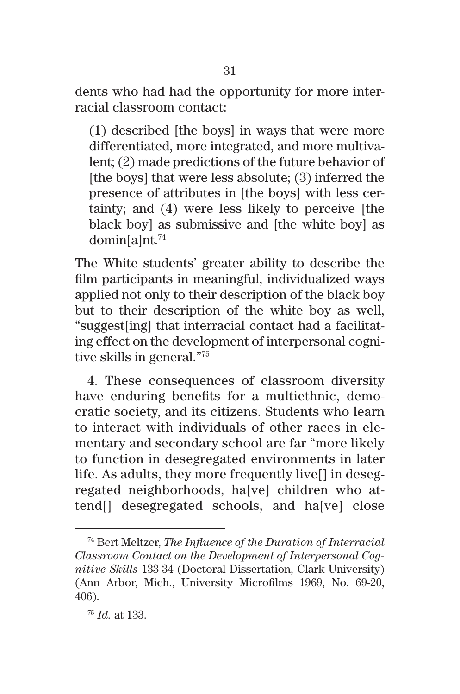dents who had had the opportunity for more interracial classroom contact:

(1) described [the boys] in ways that were more differentiated, more integrated, and more multivalent; (2) made predictions of the future behavior of [the boys] that were less absolute; (3) inferred the presence of attributes in [the boys] with less certainty; and (4) were less likely to perceive [the black boy] as submissive and [the white boy] as domin[a]nt.74

The White students' greater ability to describe the film participants in meaningful, individualized ways applied not only to their description of the black boy but to their description of the white boy as well, "suggest[ing] that interracial contact had a facilitating effect on the development of interpersonal cognitive skills in general."75

4. These consequences of classroom diversity have enduring benefits for a multiethnic, democratic society, and its citizens. Students who learn to interact with individuals of other races in elementary and secondary school are far "more likely to function in desegregated environments in later life. As adults, they more frequently live[] in desegregated neighborhoods, ha[ve] children who attend[] desegregated schools, and ha[ve] close

<sup>74</sup> Bert Meltzer, *The Influence of the Duration of Interracial Classroom Contact on the Development of Interpersonal Cognitive Skills* 133-34 (Doctoral Dissertation, Clark University) (Ann Arbor, Mich., University Microfilms 1969, No. 69-20, 406).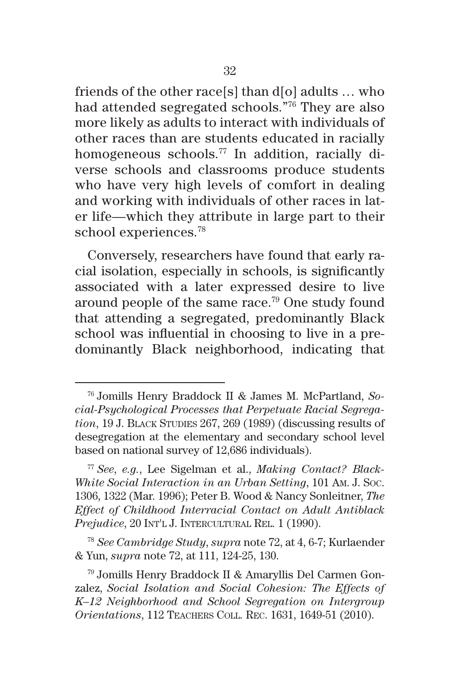friends of the other race[s] than d[o] adults … who had attended segregated schools."76 They are also more likely as adults to interact with individuals of other races than are students educated in racially homogeneous schools.77 In addition, racially diverse schools and classrooms produce students who have very high levels of comfort in dealing and working with individuals of other races in later life—which they attribute in large part to their school experiences.78

Conversely, researchers have found that early racial isolation, especially in schools, is significantly associated with a later expressed desire to live around people of the same race.79 One study found that attending a segregated, predominantly Black school was influential in choosing to live in a predominantly Black neighborhood, indicating that

<sup>76</sup> Jomills Henry Braddock II & James M. McPartland, *Social-Psychological Processes that Perpetuate Racial Segregation*, 19 J. BLACK STUDIES 267, 269 (1989) (discussing results of desegregation at the elementary and secondary school level based on national survey of 12,686 individuals).

<sup>77</sup> *See*, *e.g.*, Lee Sigelman et al., *Making Contact? Black-White Social Interaction in an Urban Setting*, 101 Am. J. Soc. 1306, 1322 (Mar. 1996); Peter B. Wood & Nancy Sonleitner, *The Effect of Childhood Interracial Contact on Adult Antiblack*  Prejudice, 20 INT'L J. INTERCULTURAL REL. 1 (1990).

<sup>78</sup> *See Cambridge Study*, *supra* note 72, at 4, 6-7; Kurlaender & Yun, *supra* note 72, at 111, 124-25, 130.

<sup>79</sup> Jomills Henry Braddock II & Amaryllis Del Carmen Gonzalez, *Social Isolation and Social Cohesion: The Effects of K–12 Neighborhood and School Segregation on Intergroup Orientations*, 112 Teachers Coll. Rec. 1631, 1649-51 (2010).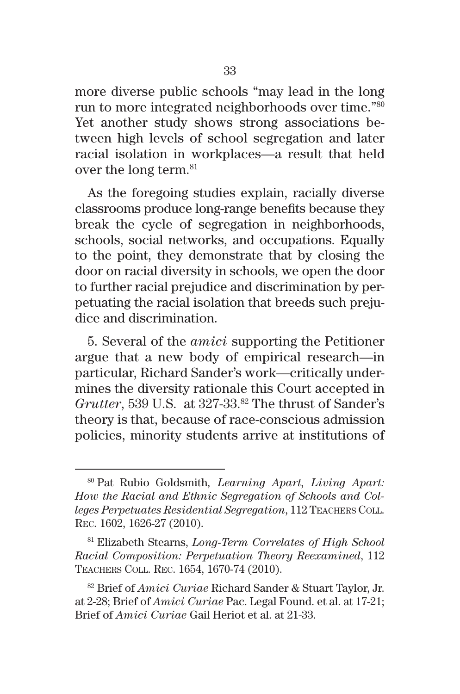more diverse public schools "may lead in the long run to more integrated neighborhoods over time."80 Yet another study shows strong associations between high levels of school segregation and later racial isolation in workplaces—a result that held over the long term.<sup>81</sup>

As the foregoing studies explain, racially diverse classrooms produce long-range benefits because they break the cycle of segregation in neighborhoods, schools, social networks, and occupations. Equally to the point, they demonstrate that by closing the door on racial diversity in schools, we open the door to further racial prejudice and discrimination by perpetuating the racial isolation that breeds such prejudice and discrimination.

5. Several of the *amici* supporting the Petitioner argue that a new body of empirical research—in particular, Richard Sander's work—critically undermines the diversity rationale this Court accepted in Grutter, 539 U.S. at 327-33.<sup>82</sup> The thrust of Sander's theory is that, because of race-conscious admission policies, minority students arrive at institutions of

<sup>80</sup> Pat Rubio Goldsmith*, Learning Apart, Living Apart: How the Racial and Ethnic Segregation of Schools and Colleges Perpetuates Residential Segregation*, 112 Teachers Coll. Rec. 1602, 1626-27 (2010).

<sup>81</sup> Elizabeth Stearns, *Long-Term Correlates of High School Racial Composition: Perpetuation Theory Reexamined*, 112 Teachers Coll. Rec. 1654, 1670-74 (2010).

<sup>82</sup> Brief of *Amici Curiae* Richard Sander & Stuart Taylor, Jr. at 2-28; Brief of *Amici Curiae* Pac. Legal Found. et al. at 17-21; Brief of *Amici Curiae* Gail Heriot et al. at 21-33.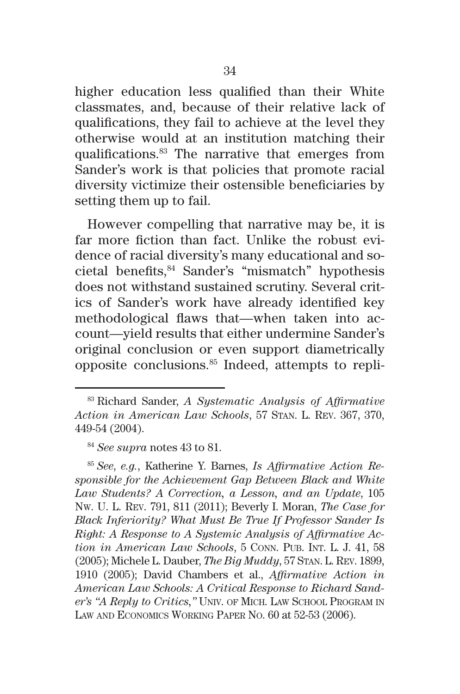higher education less qualified than their White classmates, and, because of their relative lack of qualifications, they fail to achieve at the level they otherwise would at an institution matching their qualifications.83 The narrative that emerges from Sander's work is that policies that promote racial diversity victimize their ostensible beneficiaries by setting them up to fail.

However compelling that narrative may be, it is far more fiction than fact. Unlike the robust evidence of racial diversity's many educational and societal benefits,84 Sander's "mismatch" hypothesis does not withstand sustained scrutiny. Several critics of Sander's work have already identified key methodological flaws that—when taken into account—yield results that either undermine Sander's original conclusion or even support diametrically opposite conclusions.85 Indeed, attempts to repli-

<sup>85</sup> *See*, *e.g.*, Katherine Y. Barnes, *Is Affirmative Action Responsible for the Achievement Gap Between Black and White Law Students? A Correction, a Lesson, and an Update*, 105 Nw. U. L. Rev. 791, 811 (2011); Beverly I. Moran, *The Case for Black Inferiority? What Must Be True If Professor Sander Is Right: A Response to A Systemic Analysis of Affirmative Action in American Law Schools*, 5 CONN. PUB. INT. L. J. 41, 58 (2005); Michele L. Dauber, *The Big Muddy*, 57 Stan. L. Rev. 1899, 1910 (2005); David Chambers et al., *Affirmative Action in American Law Schools: A Critical Response to Richard Sander's "A Reply to Critics,"* Univ. of Mich. Law School Program in Law and Economics Working Paper No. 60 at 52-53 (2006).

<sup>83</sup> Richard Sander, *A Systematic Analysis of Affirmative Action in American Law Schools*, 57 Stan. L. Rev. 367, 370, 449-54 (2004).

<sup>84</sup> *See supra* notes 43 to 81.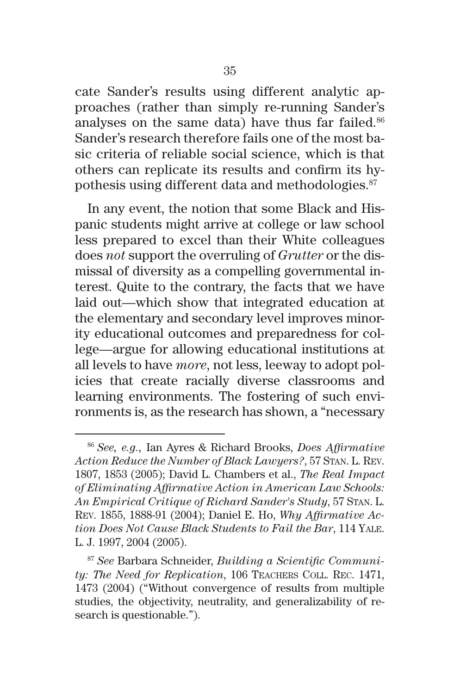cate Sander's results using different analytic approaches (rather than simply re-running Sander's analyses on the same data) have thus far failed.<sup>86</sup> Sander's research therefore fails one of the most basic criteria of reliable social science, which is that others can replicate its results and confirm its hypothesis using different data and methodologies.87

In any event, the notion that some Black and Hispanic students might arrive at college or law school less prepared to excel than their White colleagues does *not* support the overruling of *Grutter* or the dismissal of diversity as a compelling governmental interest. Quite to the contrary, the facts that we have laid out—which show that integrated education at the elementary and secondary level improves minority educational outcomes and preparedness for college—argue for allowing educational institutions at all levels to have *more*, not less, leeway to adopt policies that create racially diverse classrooms and learning environments. The fostering of such environments is, as the research has shown, a "necessary

<sup>86</sup> *See, e.g.,* Ian Ayres & Richard Brooks, *Does Affirmative Action Reduce the Number of Black Lawyers?*, 57 Stan. L. Rev. 1807, 1853 (2005); David L. Chambers et al., *The Real Impact of Eliminating Affirmative Action in American Law Schools: An Empirical Critique of Richard Sander's Study*, 57 Stan. L. Rev. 1855, 1888-91 (2004); Daniel E. Ho, *Why Affirmative Action Does Not Cause Black Students to Fail the Bar*, 114 Yale. L. J. 1997, 2004 (2005).

<sup>87</sup> *See* Barbara Schneider, *Building a Scientific Community: The Need for Replication*, 106 Teachers Coll. Rec. 1471, 1473 (2004) ("Without convergence of results from multiple studies, the objectivity, neutrality, and generalizability of research is questionable.").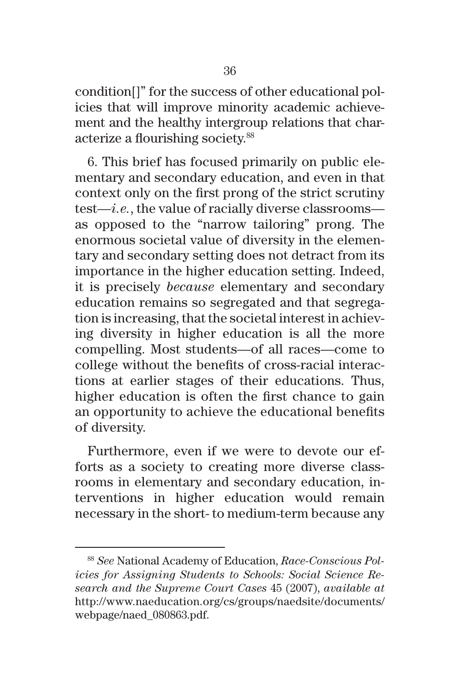condition[]" for the success of other educational policies that will improve minority academic achievement and the healthy intergroup relations that characterize a flourishing society.88

6. This brief has focused primarily on public elementary and secondary education, and even in that context only on the first prong of the strict scrutiny test—*i.e.*, the value of racially diverse classrooms as opposed to the "narrow tailoring" prong. The enormous societal value of diversity in the elementary and secondary setting does not detract from its importance in the higher education setting. Indeed, it is precisely *because* elementary and secondary education remains so segregated and that segregation is increasing, that the societal interest in achieving diversity in higher education is all the more compelling. Most students—of all races—come to college without the benefits of cross-racial interactions at earlier stages of their educations. Thus, higher education is often the first chance to gain an opportunity to achieve the educational benefits of diversity.

Furthermore, even if we were to devote our efforts as a society to creating more diverse classrooms in elementary and secondary education, interventions in higher education would remain necessary in the short- to medium-term because any

<sup>88</sup> *See* National Academy of Education, *Race-Conscious Policies for Assigning Students to Schools: Social Science Research and the Supreme Court Cases* 45 (2007), *available at* http://www.naeducation.org/cs/groups/naedsite/documents/ webpage/naed\_080863.pdf.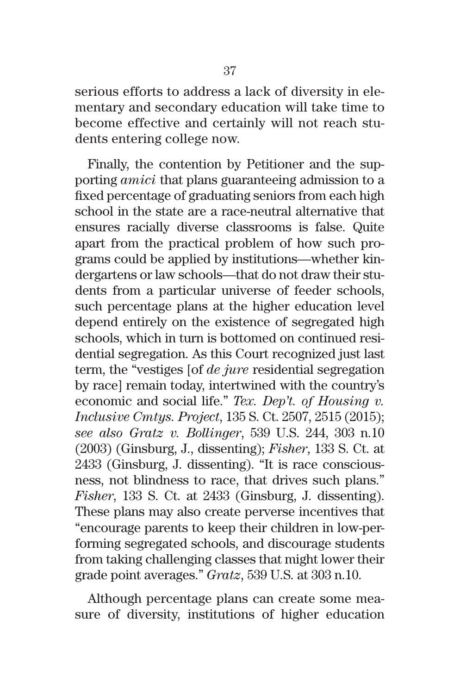serious efforts to address a lack of diversity in elementary and secondary education will take time to become effective and certainly will not reach students entering college now.

Finally, the contention by Petitioner and the supporting *amici* that plans guaranteeing admission to a fixed percentage of graduating seniors from each high school in the state are a race-neutral alternative that ensures racially diverse classrooms is false. Quite apart from the practical problem of how such programs could be applied by institutions—whether kindergartens or law schools—that do not draw their students from a particular universe of feeder schools, such percentage plans at the higher education level depend entirely on the existence of segregated high schools, which in turn is bottomed on continued residential segregation. As this Court recognized just last term, the "vestiges [of *de jure* residential segregation by race] remain today, intertwined with the country's economic and social life." *Tex. Dep't. of Housing v. Inclusive Cmtys. Project*, 135 S. Ct. 2507, 2515 (2015); *see also Gratz v. Bollinger*, 539 U.S. 244, 303 n.10 (2003) (Ginsburg, J., dissenting); *Fisher*, 133 S. Ct. at 2433 (Ginsburg, J. dissenting). "It is race consciousness, not blindness to race, that drives such plans." *Fisher*, 133 S. Ct. at 2433 (Ginsburg, J. dissenting). These plans may also create perverse incentives that "encourage parents to keep their children in low-performing segregated schools, and discourage students from taking challenging classes that might lower their grade point averages." *Gratz*, 539 U.S. at 303 n.10.

Although percentage plans can create some measure of diversity, institutions of higher education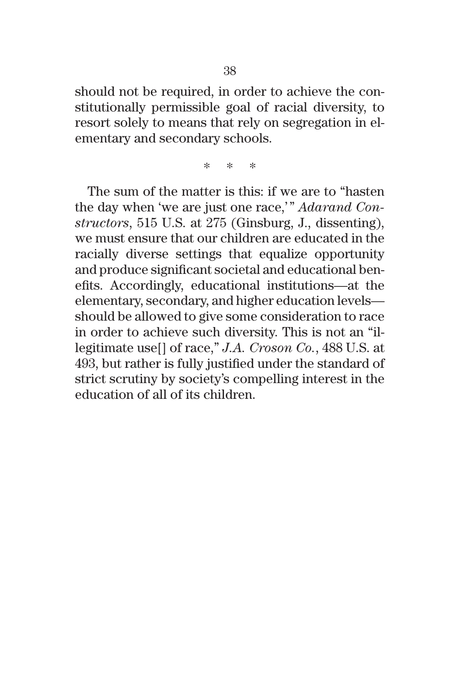should not be required, in order to achieve the constitutionally permissible goal of racial diversity, to resort solely to means that rely on segregation in elementary and secondary schools.

\* \* \*

The sum of the matter is this: if we are to "hasten the day when 'we are just one race,'" *Adarand Constructors*, 515 U.S. at 275 (Ginsburg, J., dissenting), we must ensure that our children are educated in the racially diverse settings that equalize opportunity and produce significant societal and educational benefits. Accordingly, educational institutions—at the elementary, secondary, and higher education levels should be allowed to give some consideration to race in order to achieve such diversity. This is not an "illegitimate use[] of race," *J.A. Croson Co.*, 488 U.S. at 493, but rather is fully justified under the standard of strict scrutiny by society's compelling interest in the education of all of its children.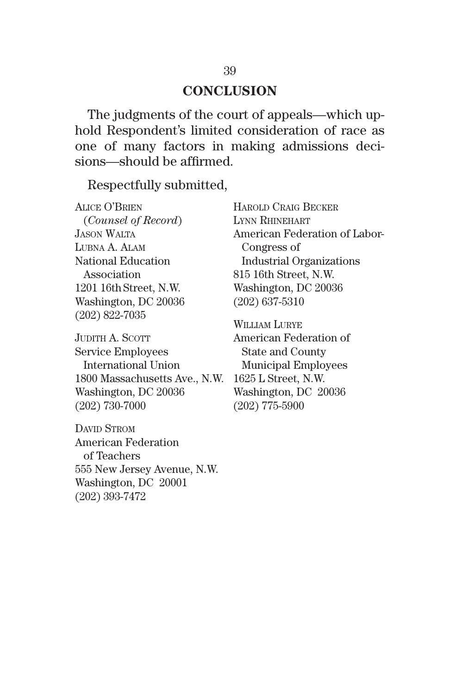#### **CONCLUSION**

The judgments of the court of appeals—which uphold Respondent's limited consideration of race as one of many factors in making admissions decisions—should be affirmed.

Respectfully submitted,

Alice O'Brien (*Counsel of Record*) Jason Walta Lubna A. Alam National Education Association 1201 16th Street, N.W. Washington, DC 20036 (202) 822-7035

JUDITH A. SCOTT Service Employees International Union 1800 Massachusetts Ave., N.W. Washington, DC 20036 (202) 730-7000

DAVID STROM American Federation of Teachers 555 New Jersey Avenue, N.W. Washington, DC 20001 (202) 393-7472

Harold Craig Becker Lynn Rhinehart American Federation of Labor- Congress of Industrial Organizations 815 16th Street, N.W. Washington, DC 20036 (202) 637-5310

William Lurye American Federation of State and County Municipal Employees 1625 L Street, N.W. Washington, DC 20036 (202) 775-5900